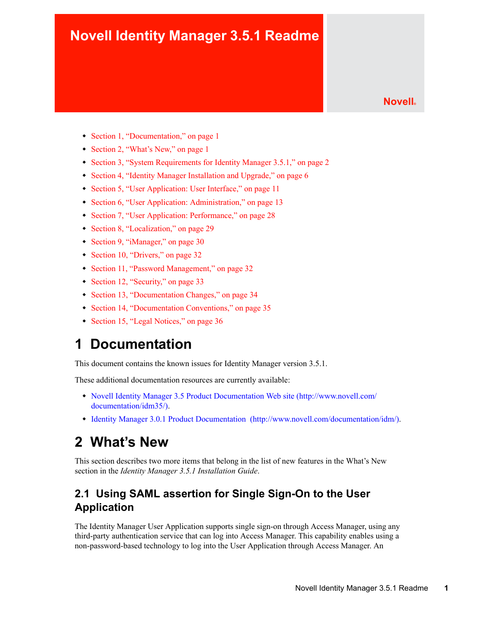## **Novell Identity Manager 3.5.1 Readme**

**Novell®**

- [Section 1, "Documentation," on page 1](#page-0-0)
- [Section 2, "What's New," on page 1](#page-0-1)
- [Section 3, "System Requirements for Identity Manager 3.5.1," on page 2](#page-1-0)
- [Section 4, "Identity Manager Installation and Upgrade," on page 6](#page-5-0)
- [Section 5, "User Application: User Interface," on page 11](#page-10-0)
- [Section 6, "User Application: Administration," on page 13](#page-12-0)
- [Section 7, "User Application: Performance," on page 28](#page-27-0)
- [Section 8, "Localization," on page 29](#page-28-0)
- [Section 9, "iManager," on page 30](#page-29-0)
- [Section 10, "Drivers," on page 32](#page-31-0)
- [Section 11, "Password Management," on page 32](#page-31-1)
- [Section 12, "Security," on page 33](#page-32-0)
- [Section 13, "Documentation Changes," on page 34](#page-33-0)
- [Section 14, "Documentation Conventions," on page 35](#page-34-0)
- [Section 15, "Legal Notices," on page 36](#page-35-0)

## <span id="page-0-0"></span>**1 Documentation**

This document contains the known issues for Identity Manager version 3.5.1.

These additional documentation resources are currently available:

- [Novell Identity Manager 3.5 Product Documentation Web site](http://www.novell.com/documentation/idm35/) (http://www.novell.com/ documentation/idm35/).
- [Identity Manager 3.0.1 Product Documentation](http://www.novell.com/documentation/idm/) (http://www.novell.com/documentation/idm/).

## <span id="page-0-1"></span>**2 What's New**

This section describes two more items that belong in the list of new features in the What's New section in the *Identity Manager 3.5.1 Installation Guide*.

#### **2.1 Using SAML assertion for Single Sign-On to the User Application**

The Identity Manager User Application supports single sign-on through Access Manager, using any third-party authentication service that can log into Access Manager. This capability enables using a non-password-based technology to log into the User Application through Access Manager. An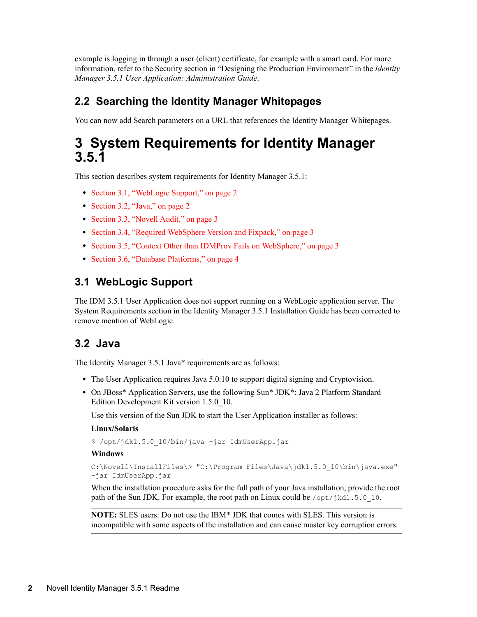example is logging in through a user (client) certificate, for example with a smart card. For more information, refer to the Security section in "Designing the Production Environment" in the *Identity Manager 3.5.1 User Application: Administration Guide*.

#### **2.2 Searching the Identity Manager Whitepages**

You can now add Search parameters on a URL that references the Identity Manager Whitepages.

## <span id="page-1-0"></span>**3 System Requirements for Identity Manager 3.5.1**

This section describes system requirements for Identity Manager 3.5.1:

- [Section 3.1, "WebLogic Support," on page 2](#page-1-1)
- [Section 3.2, "Java," on page 2](#page-1-2)
- [Section 3.3, "Novell Audit," on page 3](#page-2-0)
- [Section 3.4, "Required WebSphere Version and Fixpack," on page 3](#page-2-1)
- [Section 3.5, "Context Other than IDMProv Fails on WebSphere," on page 3](#page-2-2)
- [Section 3.6, "Database Platforms," on page 4](#page-3-0)

#### <span id="page-1-1"></span>**3.1 WebLogic Support**

The IDM 3.5.1 User Application does not support running on a WebLogic application server. The System Requirements section in the Identity Manager 3.5.1 Installation Guide has been corrected to remove mention of WebLogic.

#### <span id="page-1-2"></span>**3.2 Java**

The Identity Manager 3.5.1 Java\* requirements are as follows:

- The User Application requires Java 5.0.10 to support digital signing and Cryptovision.
- On JBoss\* Application Servers, use the following Sun\* JDK\*: Java 2 Platform Standard Edition Development Kit version 1.5.0\_10.

Use this version of the Sun JDK to start the User Application installer as follows:

#### **Linux/Solaris**

\$ /opt/jdk1.5.0\_10/bin/java -jar IdmUserApp.jar

#### **Windows**

```
C:\Novell\InstallFiles\> "C:\Program Files\Java\jdk1.5.0 10\bin\java.exe"
-jar IdmUserApp.jar
```
When the installation procedure asks for the full path of your Java installation, provide the root path of the Sun JDK. For example, the root path on Linux could be /opt/jkd1.5.0 10.

**NOTE:** SLES users: Do not use the IBM\* JDK that comes with SLES. This version is incompatible with some aspects of the installation and can cause master key corruption errors.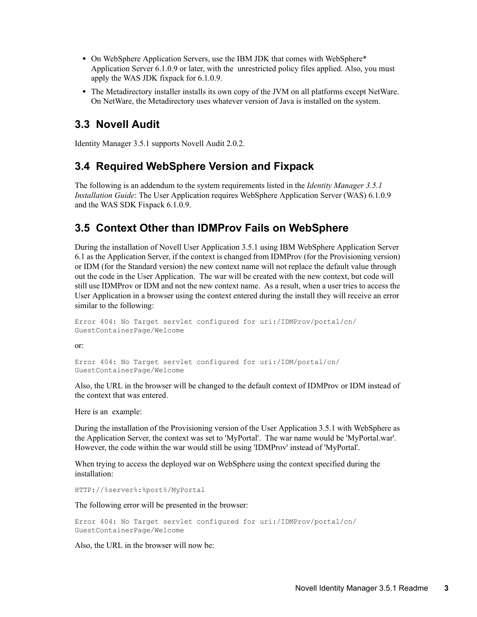- On WebSphere Application Servers, use the IBM JDK that comes with WebSphere\* Application Server 6.1.0.9 or later, with the unrestricted policy files applied. Also, you must apply the WAS JDK fixpack for 6.1.0.9.
- The Metadirectory installer installs its own copy of the JVM on all platforms except NetWare. On NetWare, the Metadirectory uses whatever version of Java is installed on the system.

#### <span id="page-2-0"></span>**3.3 Novell Audit**

Identity Manager 3.5.1 supports Novell Audit 2.0.2.

#### <span id="page-2-1"></span>**3.4 Required WebSphere Version and Fixpack**

The following is an addendum to the system requirements listed in the *Identity Manager 3.5.1 Installation Guide*: The User Application requires WebSphere Application Server (WAS) 6.1.0.9 and the WAS SDK Fixpack 6.1.0.9.

#### <span id="page-2-2"></span>**3.5 Context Other than IDMProv Fails on WebSphere**

During the installation of Novell User Application 3.5.1 using IBM WebSphere Application Server 6.1 as the Application Server, if the context is changed from IDMProv (for the Provisioning version) or IDM (for the Standard version) the new context name will not replace the default value through out the code in the User Application. The war will be created with the new context, but code will still use IDMProv or IDM and not the new context name. As a result, when a user tries to access the User Application in a browser using the context entered during the install they will receive an error similar to the following:

```
Error 404: No Target servlet configured for uri:/IDMProv/portal/cn/
GuestContainerPage/Welcome
```
or:

```
Error 404: No Target servlet configured for uri:/IDM/portal/cn/
GuestContainerPage/Welcome
```
Also, the URL in the browser will be changed to the default context of IDMProv or IDM instead of the context that was entered.

Here is an example:

During the installation of the Provisioning version of the User Application 3.5.1 with WebSphere as the Application Server, the context was set to 'MyPortal'. The war name would be 'MyPortal.war'. However, the code within the war would still be using 'IDMProv' instead of 'MyPortal'.

When trying to access the deployed war on WebSphere using the context specified during the installation:

HTTP://%server%:%port%/MyPortal

The following error will be presented in the browser:

```
Error 404: No Target servlet configured for uri:/IDMProv/portal/cn/
GuestContainerPage/Welcome
```
Also, the URL in the browser will now be: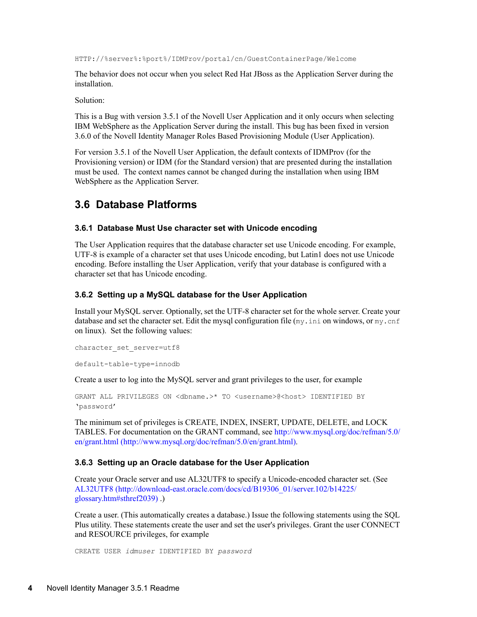HTTP://%server%:%port%/IDMProv/portal/cn/GuestContainerPage/Welcome

The behavior does not occur when you select Red Hat JBoss as the Application Server during the installation.

Solution:

This is a Bug with version 3.5.1 of the Novell User Application and it only occurs when selecting IBM WebSphere as the Application Server during the install. This bug has been fixed in version 3.6.0 of the Novell Identity Manager Roles Based Provisioning Module (User Application).

For version 3.5.1 of the Novell User Application, the default contexts of IDMProv (for the Provisioning version) or IDM (for the Standard version) that are presented during the installation must be used. The context names cannot be changed during the installation when using IBM WebSphere as the Application Server.

#### <span id="page-3-0"></span>**3.6 Database Platforms**

#### **3.6.1 Database Must Use character set with Unicode encoding**

The User Application requires that the database character set use Unicode encoding. For example, UTF-8 is example of a character set that uses Unicode encoding, but Latin1 does not use Unicode encoding. Before installing the User Application, verify that your database is configured with a character set that has Unicode encoding.

#### **3.6.2 Setting up a MySQL database for the User Application**

Install your MySQL server. Optionally, set the UTF-8 character set for the whole server. Create your database and set the character set. Edit the mysql configuration file  $(my \text{.} \text{ini}$  on windows, or  $my \text{.} \text{cnf}$ on linux). Set the following values:

```
character set server=utf8
```
default-table-type=innodb

Create a user to log into the MySQL server and grant privileges to the user, for example

```
GRANT ALL PRIVILEGES ON <dbname.>* TO <username>@<host> IDENTIFIED BY
'password'
```
The minimum set of privileges is CREATE, INDEX, INSERT, UPDATE, DELETE, and LOCK TABLES. For documentation on the GRANT command, see [http://www.mysql.org/doc/refman/5.0/](http://www.mysql.org/doc/refman/5.0/en/grant.html) [en/grant.html](http://www.mysql.org/doc/refman/5.0/en/grant.html) (http://www.mysql.org/doc/refman/5.0/en/grant.html).

#### **3.6.3 Setting up an Oracle database for the User Application**

Create your Oracle server and use AL32UTF8 to specify a Unicode-encoded character set. (See [AL32UTF8](http://download-east.oracle.com/docs/cd/B19306_01/server.102/b14225/glossary.htm#sthref2039) (http://download-east.oracle.com/docs/cd/B19306\_01/server.102/b14225/ glossary.htm#sthref2039) .)

Create a user. (This automatically creates a database.) Issue the following statements using the SQL Plus utility. These statements create the user and set the user's privileges. Grant the user CONNECT and RESOURCE privileges, for example

CREATE USER *idmuser* IDENTIFIED BY *password*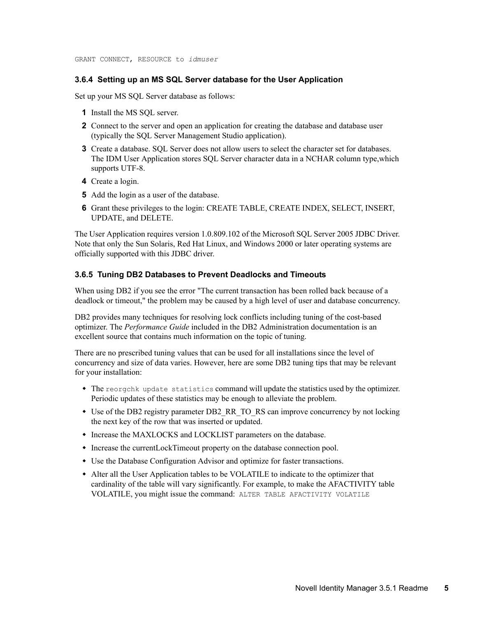GRANT CONNECT, RESOURCE to *idmuser*

#### **3.6.4 Setting up an MS SQL Server database for the User Application**

Set up your MS SQL Server database as follows:

- **1** Install the MS SQL server.
- **2** Connect to the server and open an application for creating the database and database user (typically the SQL Server Management Studio application).
- **3** Create a database. SOL Server does not allow users to select the character set for databases. The IDM User Application stores SQL Server character data in a NCHAR column type,which supports UTF-8.
- **4** Create a login.
- **5** Add the login as a user of the database.
- **6** Grant these privileges to the login: CREATE TABLE, CREATE INDEX, SELECT, INSERT, UPDATE, and DELETE.

The User Application requires version 1.0.809.102 of the Microsoft SQL Server 2005 JDBC Driver. Note that only the Sun Solaris, Red Hat Linux, and Windows 2000 or later operating systems are officially supported with this JDBC driver.

#### **3.6.5 Tuning DB2 Databases to Prevent Deadlocks and Timeouts**

When using DB2 if you see the error "The current transaction has been rolled back because of a deadlock or timeout," the problem may be caused by a high level of user and database concurrency.

DB2 provides many techniques for resolving lock conflicts including tuning of the cost-based optimizer. The *Performance Guide* included in the DB2 Administration documentation is an excellent source that contains much information on the topic of tuning.

There are no prescribed tuning values that can be used for all installations since the level of concurrency and size of data varies. However, here are some DB2 tuning tips that may be relevant for your installation:

- The reorgchk update statistics command will update the statistics used by the optimizer. Periodic updates of these statistics may be enough to alleviate the problem.
- Use of the DB2 registry parameter DB2\_RR\_TO\_RS can improve concurrency by not locking the next key of the row that was inserted or updated.
- Increase the MAXLOCKS and LOCKLIST parameters on the database.
- Increase the currentLockTimeout property on the database connection pool.
- Use the Database Configuration Advisor and optimize for faster transactions.
- Alter all the User Application tables to be VOLATILE to indicate to the optimizer that cardinality of the table will vary significantly. For example, to make the AFACTIVITY table VOLATILE, you might issue the command: ALTER TABLE AFACTIVITY VOLATILE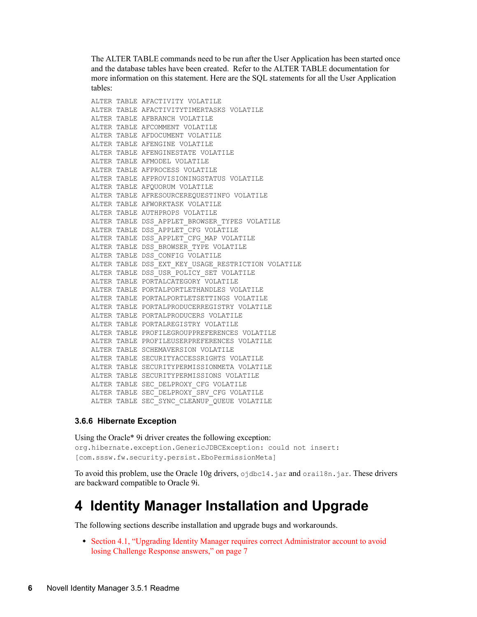The ALTER TABLE commands need to be run after the User Application has been started once and the database tables have been created. Refer to the ALTER TABLE documentation for more information on this statement. Here are the SQL statements for all the User Application tables:

```
ALTER TABLE AFACTIVITY VOLATILE
ALTER TABLE AFACTIVITYTIMERTASKS VOLATILE
ALTER TABLE AFBRANCH VOLATILE
ALTER TABLE AFCOMMENT VOLATILE
ALTER TABLE AFDOCUMENT VOLATILE
ALTER TABLE AFENGINE VOLATILE
ALTER TABLE AFENGINESTATE VOLATILE
ALTER TABLE AFMODEL VOLATILE
ALTER TABLE AFPROCESS VOLATILE
ALTER TABLE AFPROVISIONINGSTATUS VOLATILE
ALTER TABLE AFOUORUM VOLATILE
ALTER TABLE AFRESOURCEREQUESTINFO VOLATILE
ALTER TABLE AFWORKTASK VOLATILE
ALTER TABLE AUTHPROPS VOLATILE
ALTER TABLE DSS APPLET BROWSER TYPES VOLATILE
ALTER TABLE DSS APPLET CFG VOLATILE
ALTER TABLE DSS APPLET CFG MAP VOLATILE
ALTER TABLE DSS_BROWSER_TYPE VOLATILE
ALTER TABLE DSS_CONFIG VOLATILE
ALTER TABLE DSS EXT KEY USAGE RESTRICTION VOLATILE
ALTER TABLE DSS_USR_POLICY SET VOLATILE
ALTER TABLE PORTALCATEGORY VOLATILE
ALTER TABLE PORTALPORTLETHANDLES VOLATILE
ALTER TABLE PORTALPORTLETSETTINGS VOLATILE
ALTER TABLE PORTALPRODUCERREGISTRY VOLATILE
ALTER TABLE PORTALPRODUCERS VOLATILE
ALTER TABLE PORTALREGISTRY VOLATILE
ALTER TABLE PROFILEGROUPPREFERENCES VOLATILE
ALTER TABLE PROFILEUSERPREFERENCES VOLATILE
ALTER TABLE SCHEMAVERSION VOLATILE
ALTER TABLE SECURITYACCESSRIGHTS VOLATILE
ALTER TABLE SECURITYPERMISSIONMETA VOLATILE
ALTER TABLE SECURITYPERMISSIONS VOLATILE
ALTER TABLE SEC_DELPROXY_CFG VOLATILE
ALTER TABLE SEC_DELPROXY_SRV_CFG VOLATILE
ALTER TABLE SEC_SYNC_CLEANUP_QUEUE VOLATILE
```
#### **3.6.6 Hibernate Exception**

Using the Oracle\* 9i driver creates the following exception: org.hibernate.exception.GenericJDBCException: could not insert: [com.sssw.fw.security.persist.EboPermissionMeta]

To avoid this problem, use the Oracle 10g drivers, ojdbc14.jar and orai18n.jar. These drivers are backward compatible to Oracle 9i.

## <span id="page-5-0"></span>**4 Identity Manager Installation and Upgrade**

The following sections describe installation and upgrade bugs and workarounds.

 [Section 4.1, "Upgrading Identity Manager requires correct Administrator account to avoid](#page-6-0)  [losing Challenge Response answers," on page 7](#page-6-0)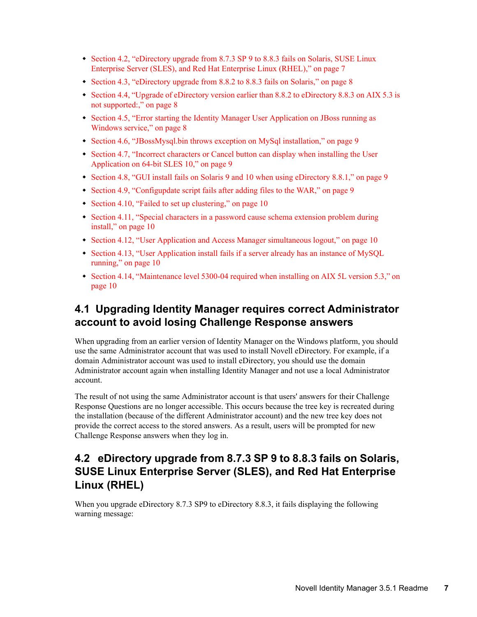- Section 4.2, "eDirectory upgrade from 8.7.3 SP 9 to 8.8.3 fails on Solaris, SUSE Linux [Enterprise Server \(SLES\), and Red Hat Enterprise Linux \(RHEL\)," on page 7](#page-6-1)
- [Section 4.3, "eDirectory upgrade from 8.8.2 to 8.8.3 fails on Solaris," on page 8](#page-7-0)
- [Section 4.4, "Upgrade of eDirectory version earlier than 8.8.2 to eDirectory 8.8.3 on AIX 5.3 is](#page-7-1)  [not supported:," on page 8](#page-7-1)
- [Section 4.5, "Error starting the Identity Manager User Application on JBoss running as](#page-7-2)  [Windows service," on page 8](#page-7-2)
- [Section 4.6, "JBossMysql.bin throws exception on MySql installation," on page 9](#page-8-0)
- [Section 4.7, "Incorrect characters or Cancel button can display when installing the User](#page-8-1)  [Application on 64-bit SLES 10," on page 9](#page-8-1)
- [Section 4.8, "GUI install fails on Solaris 9 and 10 when using eDirectory 8.8.1," on page 9](#page-8-2)
- [Section 4.9, "Configupdate script fails after adding files to the WAR," on page 9](#page-8-3)
- [Section 4.10, "Failed to set up clustering," on page 10](#page-9-0)
- [Section 4.11, "Special characters in a password cause schema extension problem during](#page-9-1)  [install," on page 10](#page-9-1)
- [Section 4.12, "User Application and Access Manager simultaneous logout," on page 10](#page-9-2)
- Section 4.13, "User Application install fails if a server already has an instance of MySQL [running," on page 10](#page-9-3)
- [Section 4.14, "Maintenance level 5300-04 required when installing on AIX 5L version 5.3," on](#page-9-4)  [page 10](#page-9-4)

#### <span id="page-6-0"></span>**4.1 Upgrading Identity Manager requires correct Administrator account to avoid losing Challenge Response answers**

When upgrading from an earlier version of Identity Manager on the Windows platform, you should use the same Administrator account that was used to install Novell eDirectory. For example, if a domain Administrator account was used to install eDirectory, you should use the domain Administrator account again when installing Identity Manager and not use a local Administrator account.

The result of not using the same Administrator account is that users' answers for their Challenge Response Questions are no longer accessible. This occurs because the tree key is recreated during the installation (because of the different Administrator account) and the new tree key does not provide the correct access to the stored answers. As a result, users will be prompted for new Challenge Response answers when they log in.

### <span id="page-6-1"></span>**4.2 eDirectory upgrade from 8.7.3 SP 9 to 8.8.3 fails on Solaris, SUSE Linux Enterprise Server (SLES), and Red Hat Enterprise Linux (RHEL)**

When you upgrade eDirectory 8.7.3 SP9 to eDirectory 8.8.3, it fails displaying the following warning message: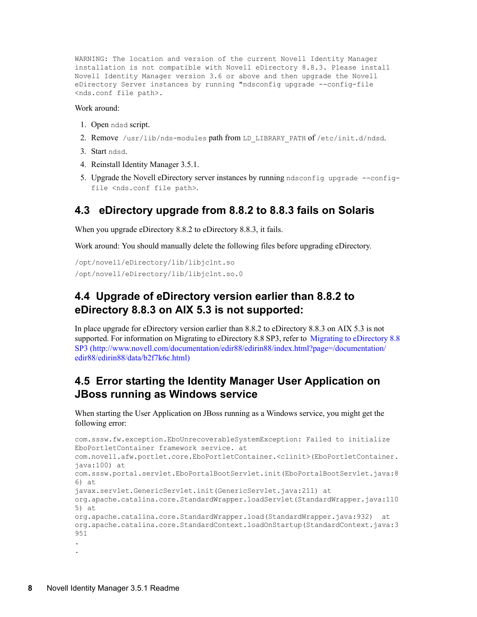WARNING: The location and version of the current Novell Identity Manager installation is not compatible with Novell eDirectory 8.8.3. Please install Novell Identity Manager version 3.6 or above and then upgrade the Novell eDirectory Server instances by running "ndsconfig upgrade --config-file <nds.conf file path>.

#### Work around:

- 1. Open ndsd script.
- 2. Remove /usr/lib/nds-modules path from LD\_LIBRARY\_PATH of /etc/init.d/ndsd.
- 3. Start ndsd.
- 4. Reinstall Identity Manager 3.5.1.
- 5. Upgrade the Novell eDirectory server instances by running ndsconfig upgrade --configfile <nds.conf file path>.

#### <span id="page-7-0"></span>**4.3 eDirectory upgrade from 8.8.2 to 8.8.3 fails on Solaris**

When you upgrade eDirectory 8.8.2 to eDirectory 8.8.3, it fails.

Work around: You should manually delete the following files before upgrading eDirectory.

```
/opt/novell/eDirectory/lib/libjclnt.so
/opt/novell/eDirectory/lib/libjclnt.so.0
```
#### <span id="page-7-1"></span>**4.4 Upgrade of eDirectory version earlier than 8.8.2 to eDirectory 8.8.3 on AIX 5.3 is not supported:**

In place upgrade for eDirectory version earlier than 8.8.2 to eDirectory 8.8.3 on AIX 5.3 is not supported. For information on Migrating to eDirectory 8.8 SP3, refer to [Migrating to eDirectory 8.8](http://www.novell.com/documentation/edir88/edirin88/index.html?page=/documentation/edir88/edirin88/data/b2f7k6c.html)  [SP3](http://www.novell.com/documentation/edir88/edirin88/index.html?page=/documentation/edir88/edirin88/data/b2f7k6c.html) (http://www.novell.com/documentation/edir88/edirin88/index.html?page=/documentation/ edir88/edirin88/data/b2f7k6c.html)

#### <span id="page-7-2"></span>**4.5 Error starting the Identity Manager User Application on JBoss running as Windows service**

When starting the User Application on JBoss running as a Windows service, you might get the following error:

```
com.sssw.fw.exception.EboUnrecoverableSystemException: Failed to initialize
EboPortletContainer framework service. at
com.novell.afw.portlet.core.EboPortletContainer.<clinit>(EboPortletContainer.
java:100) at
com.sssw.portal.servlet.EboPortalBootServlet.init(EboPortalBootServlet.java:8
6) at 
javax.servlet.GenericServlet.init(GenericServlet.java:211) at
org.apache.catalina.core.StandardWrapper.loadServlet(StandardWrapper.java:110
5) at
org.apache.catalina.core.StandardWrapper.load(StandardWrapper.java:932) at
org.apache.catalina.core.StandardContext.loadOnStartup(StandardContext.java:3
951
.
.
```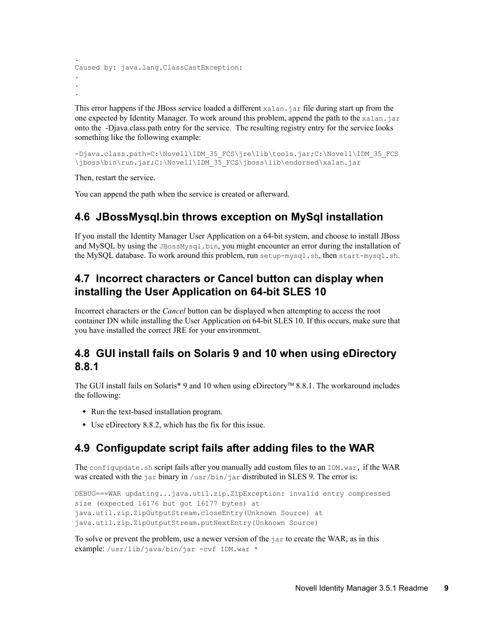```
.
Caused by: java.lang.ClassCastException:
.
.
.
```
This error happens if the JBoss service loaded a different xalan.jar file during start up from the one expected by Identity Manager. To work around this problem, append the path to the  $x$ alan. jar onto the -Djava.class.path entry for the service. The resulting registry entry for the service looks something like the following example:

```
-Djava.class.path=C:\Novell\IDM_35_FCS\jre\lib\tools.jar;C:\Novell\IDM_35_FCS
\jboss\bin\run.jar;C:\Novell\IDM_35_FCS\jboss\lib\endorsed\xalan.jar
```
Then, restart the service.

You can append the path when the service is created or afterward.

### <span id="page-8-0"></span>**4.6 JBossMysql.bin throws exception on MySql installation**

If you install the Identity Manager User Application on a 64-bit system, and choose to install JBoss and MySQL by using the JBossMysql.bin, you might encounter an error during the installation of the MySQL database. To work around this problem, run setup-mysql.sh, then start-mysql.sh.

#### <span id="page-8-1"></span>**4.7 Incorrect characters or Cancel button can display when installing the User Application on 64-bit SLES 10**

Incorrect characters or the *Cancel* button can be displayed when attempting to access the root container DN while installing the User Application on 64-bit SLES 10. If this occurs, make sure that you have installed the correct JRE for your environment.

#### <span id="page-8-2"></span>**4.8 GUI install fails on Solaris 9 and 10 when using eDirectory 8.8.1**

The GUI install fails on Solaris\* 9 and 10 when using eDirectory™ 8.8.1. The workaround includes the following:

- Run the text-based installation program.
- Use eDirectory 8.8.2, which has the fix for this issue.

#### <span id="page-8-3"></span>**4.9 Configupdate script fails after adding files to the WAR**

The configupdate.sh script fails after you manually add custom files to an  $IDM.war$ , if the WAR was created with the  $jar binary in /usr/bin/jar distributed in SLES 9$ . The error is:

```
DEBUG===WAR updating...java.util.zip.ZipException: invalid entry compressed 
size (expected 16176 but got 16177 bytes) at 
java.util.zip.ZipOutputStream.closeEntry(Unknown Source) at 
java.util.zip.ZipOutputStream.putNextEntry(Unknown Source)
```
To solve or prevent the problem, use a newer version of the jar to create the WAR, as in this example: /usr/lib/java/bin/jar -cvf IDM.war \*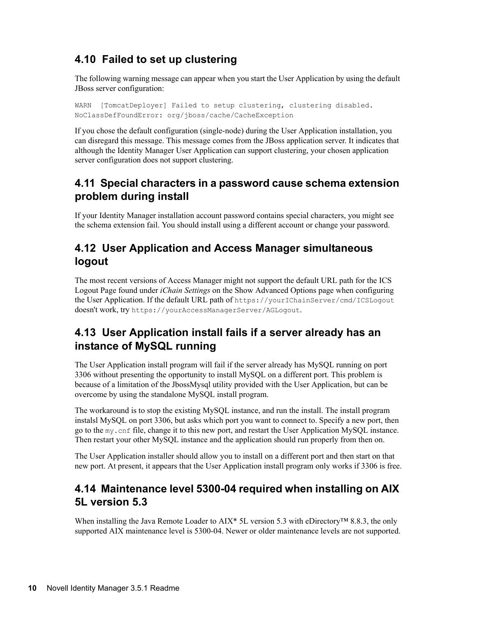## <span id="page-9-0"></span>**4.10 Failed to set up clustering**

The following warning message can appear when you start the User Application by using the default JBoss server configuration:

WARN [TomcatDeployer] Failed to setup clustering, clustering disabled. NoClassDefFoundError: org/jboss/cache/CacheException

If you chose the default configuration (single-node) during the User Application installation, you can disregard this message. This message comes from the JBoss application server. It indicates that although the Identity Manager User Application can support clustering, your chosen application server configuration does not support clustering.

#### <span id="page-9-1"></span>**4.11 Special characters in a password cause schema extension problem during install**

If your Identity Manager installation account password contains special characters, you might see the schema extension fail. You should install using a different account or change your password.

#### <span id="page-9-2"></span>**4.12 User Application and Access Manager simultaneous logout**

The most recent versions of Access Manager might not support the default URL path for the ICS Logout Page found under *iChain Settings* on the Show Advanced Options page when configuring the User Application. If the default URL path of https://yourIChainServer/cmd/ICSLogout doesn't work, try https://yourAccessManagerServer/AGLogout.

#### <span id="page-9-3"></span>**4.13 User Application install fails if a server already has an instance of MySQL running**

The User Application install program will fail if the server already has MySQL running on port 3306 without presenting the opportunity to install MySQL on a different port. This problem is because of a limitation of the JbossMysql utility provided with the User Application, but can be overcome by using the standalone MySQL install program.

The workaround is to stop the existing MySQL instance, and run the install. The install program instalsl MySQL on port 3306, but asks which port you want to connect to. Specify a new port, then go to the my.cnf file, change it to this new port, and restart the User Application MySQL instance. Then restart your other MySQL instance and the application should run properly from then on.

The User Application installer should allow you to install on a different port and then start on that new port. At present, it appears that the User Application install program only works if 3306 is free.

#### <span id="page-9-4"></span>**4.14 Maintenance level 5300-04 required when installing on AIX 5L version 5.3**

When installing the Java Remote Loader to AIX\* 5L version 5.3 with eDirectory™ 8.8.3, the only supported AIX maintenance level is 5300-04. Newer or older maintenance levels are not supported.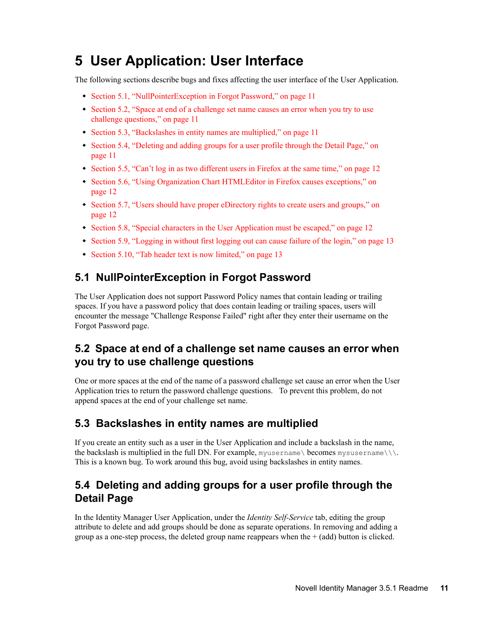## <span id="page-10-0"></span>**5 User Application: User Interface**

The following sections describe bugs and fixes affecting the user interface of the User Application.

- [Section 5.1, "NullPointerException in Forgot Password," on page 11](#page-10-1)
- Section 5.2, "Space at end of a challenge set name causes an error when you try to use [challenge questions," on page 11](#page-10-2)
- [Section 5.3, "Backslashes in entity names are multiplied," on page 11](#page-10-3)
- Section 5.4, "Deleting and adding groups for a user profile through the Detail Page," on [page 11](#page-10-4)
- [Section 5.5, "Can't log in as two different users in Firefox at the same time," on page 12](#page-11-0)
- [Section 5.6, "Using Organization Chart HTMLEditor in Firefox causes exceptions," on](#page-11-1)  [page 12](#page-11-1)
- [Section 5.7, "Users should have proper eDirectory rights to create users and groups," on](#page-11-2)  [page 12](#page-11-2)
- [Section 5.8, "Special characters in the User Application must be escaped," on page 12](#page-11-3)
- [Section 5.9, "Logging in without first logging out can cause failure of the login," on page 13](#page-12-1)
- [Section 5.10, "Tab header text is now limited," on page 13](#page-12-2)

## <span id="page-10-1"></span>**5.1 NullPointerException in Forgot Password**

The User Application does not support Password Policy names that contain leading or trailing spaces. If you have a password policy that does contain leading or trailing spaces, users will encounter the message "Challenge Response Failed" right after they enter their username on the Forgot Password page.

### <span id="page-10-2"></span>**5.2 Space at end of a challenge set name causes an error when you try to use challenge questions**

One or more spaces at the end of the name of a password challenge set cause an error when the User Application tries to return the password challenge questions. To prevent this problem, do not append spaces at the end of your challenge set name.

### <span id="page-10-3"></span>**5.3 Backslashes in entity names are multiplied**

If you create an entity such as a user in the User Application and include a backslash in the name, the backslash is multiplied in the full DN. For example, myusername\ becomes mysusername $\setminus \setminus$ . This is a known bug. To work around this bug, avoid using backslashes in entity names.

### <span id="page-10-4"></span>**5.4 Deleting and adding groups for a user profile through the Detail Page**

In the Identity Manager User Application, under the *Identity Self-Service* tab, editing the group attribute to delete and add groups should be done as separate operations. In removing and adding a group as a one-step process, the deleted group name reappears when the  $+$  (add) button is clicked.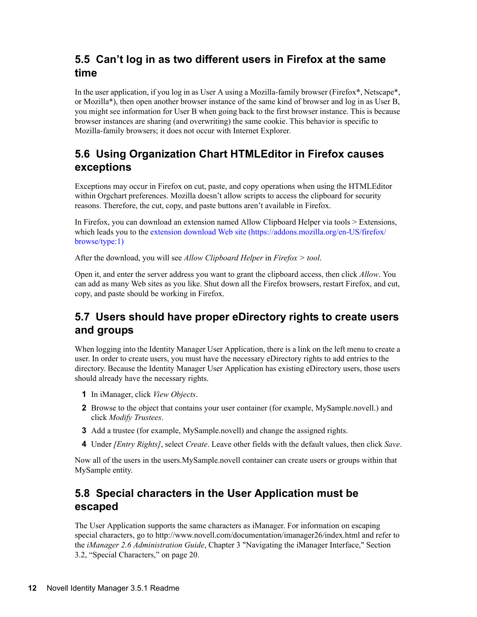### <span id="page-11-0"></span>**5.5 Can't log in as two different users in Firefox at the same time**

In the user application, if you log in as User A using a Mozilla-family browser (Firefox\*, Netscape\*, or Mozilla\*), then open another browser instance of the same kind of browser and log in as User B, you might see information for User B when going back to the first browser instance. This is because browser instances are sharing (and overwriting) the same cookie. This behavior is specific to Mozilla-family browsers; it does not occur with Internet Explorer.

#### <span id="page-11-1"></span>**5.6 Using Organization Chart HTMLEditor in Firefox causes exceptions**

Exceptions may occur in Firefox on cut, paste, and copy operations when using the HTMLEditor within Orgchart preferences. Mozilla doesn't allow scripts to access the clipboard for security reasons. Therefore, the cut, copy, and paste buttons aren't available in Firefox.

In Firefox, you can download an extension named Allow Clipboard Helper via tools > Extensions, which leads you to the [extension download Web site](https://addons.mozilla.org/en-US/firefox/browse/type:1) (https://addons.mozilla.org/en-US/firefox/ browse/type:1)

After the download, you will see *Allow Clipboard Helper* in *Firefox > tool*.

Open it, and enter the server address you want to grant the clipboard access, then click *Allow*. You can add as many Web sites as you like. Shut down all the Firefox browsers, restart Firefox, and cut, copy, and paste should be working in Firefox.

### <span id="page-11-2"></span>**5.7 Users should have proper eDirectory rights to create users and groups**

When logging into the Identity Manager User Application, there is a link on the left menu to create a user. In order to create users, you must have the necessary eDirectory rights to add entries to the directory. Because the Identity Manager User Application has existing eDirectory users, those users should already have the necessary rights.

- **1** In iManager, click *View Objects*.
- **2** Browse to the object that contains your user container (for example, MySample.novell.) and click *Modify Trustees*.
- **3** Add a trustee (for example, MySample.novell) and change the assigned rights.
- **4** Under *[Entry Rights]*, select *Create*. Leave other fields with the default values, then click *Save*.

Now all of the users in the users.MySample.novell container can create users or groups within that MySample entity.

#### <span id="page-11-3"></span>**5.8 Special characters in the User Application must be escaped**

The User Application supports the same characters as iManager. For information on escaping special characters, go to http://www.novell.com/documentation/imanager26/index.html and refer to the *iManager 2.6 Administration Guide*, Chapter 3 "Navigating the iManager Interface," Section 3.2, "Special Characters," on page 20.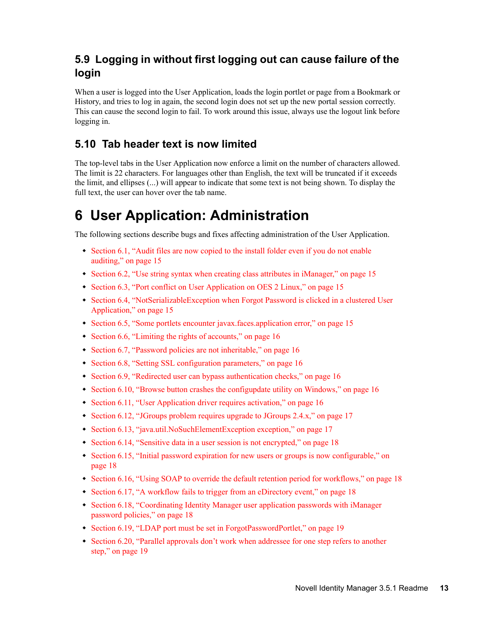### <span id="page-12-1"></span>**5.9 Logging in without first logging out can cause failure of the login**

When a user is logged into the User Application, loads the login portlet or page from a Bookmark or History, and tries to log in again, the second login does not set up the new portal session correctly. This can cause the second login to fail. To work around this issue, always use the logout link before logging in.

### <span id="page-12-2"></span>**5.10 Tab header text is now limited**

The top-level tabs in the User Application now enforce a limit on the number of characters allowed. The limit is 22 characters. For languages other than English, the text will be truncated if it exceeds the limit, and ellipses (...) will appear to indicate that some text is not being shown. To display the full text, the user can hover over the tab name.

# <span id="page-12-0"></span>**6 User Application: Administration**

The following sections describe bugs and fixes affecting administration of the User Application.

- [Section 6.1, "Audit files are now copied to the install folder even if you do not enable](#page-14-0)  [auditing," on page 15](#page-14-0)
- [Section 6.2, "Use string syntax when creating class attributes in iManager," on page 15](#page-14-1)
- [Section 6.3, "Port conflict on User Application on OES 2 Linux," on page 15](#page-14-2)
- [Section 6.4, "NotSerializableException when Forgot Password is clicked in a clustered User](#page-14-3)  [Application," on page 15](#page-14-3)
- [Section 6.5, "Some portlets encounter javax.faces.application error," on page 15](#page-14-4)
- [Section 6.6, "Limiting the rights of accounts," on page 16](#page-15-0)
- [Section 6.7, "Password policies are not inheritable," on page 16](#page-15-1)
- [Section 6.8, "Setting SSL configuration parameters," on page 16](#page-15-2)
- [Section 6.9, "Redirected user can bypass authentication checks," on page 16](#page-15-3)
- $\bullet$  [Section 6.10, "Browse button crashes the configupdate utility on Windows," on page 16](#page-15-4)
- [Section 6.11, "User Application driver requires activation," on page 16](#page-15-5)
- [Section 6.12, "JGroups problem requires upgrade to JGroups 2.4.x," on page 17](#page-16-0)
- [Section 6.13, "java.util.NoSuchElementException exception," on page 17](#page-16-1)
- [Section 6.14, "Sensitive data in a user session is not encrypted," on page 18](#page-17-0)
- Section 6.15, "Initial password expiration for new users or groups is now configurable," on [page 18](#page-17-1)
- [Section 6.16, "Using SOAP to override the default retention period for workflows," on page 18](#page-17-2)
- [Section 6.17, "A workflow fails to trigger from an eDirectory event," on page 18](#page-17-3)
- Section 6.18, "Coordinating Identity Manager user application passwords with iManager [password policies," on page 18](#page-17-4)
- [Section 6.19, "LDAP port must be set in ForgotPasswordPortlet," on page 19](#page-18-0)
- [Section 6.20, "Parallel approvals don't work when addressee for one step refers to another](#page-18-1)  [step," on page 19](#page-18-1)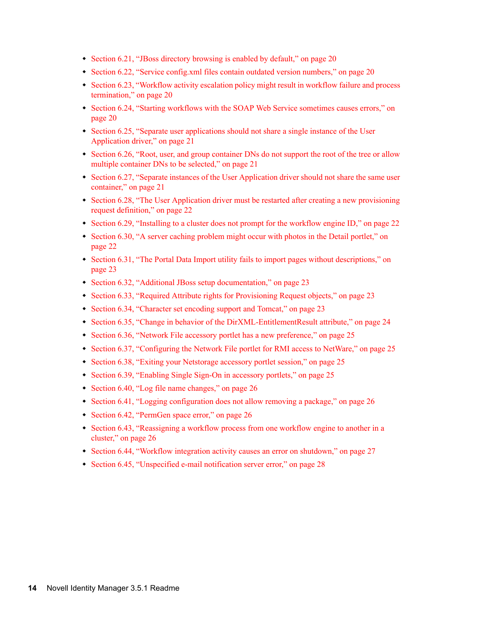- [Section 6.21, "JBoss directory browsing is enabled by default," on page 20](#page-19-0)
- [Section 6.22, "Service config.xml files contain outdated version numbers," on page 20](#page-19-1)
- [Section 6.23, "Workflow activity escalation policy might result in workflow failure and process](#page-19-2)  [termination," on page 20](#page-19-2)
- [Section 6.24, "Starting workflows with the SOAP Web Service sometimes causes errors," on](#page-19-3)  [page 20](#page-19-3)
- Section 6.25, "Separate user applications should not share a single instance of the User [Application driver," on page 21](#page-20-0)
- Section 6.26, "Root, user, and group container DNs do not support the root of the tree or allow [multiple container DNs to be selected," on page 21](#page-20-1)
- Section 6.27, "Separate instances of the User Application driver should not share the same user [container," on page 21](#page-20-2)
- [Section 6.28, "The User Application driver must be restarted after creating a new provisioning](#page-21-0)  [request definition," on page 22](#page-21-0)
- [Section 6.29, "Installing to a cluster does not prompt for the workflow engine ID," on page 22](#page-21-1)
- [Section 6.30, "A server caching problem might occur with photos in the Detail portlet," on](#page-21-2)  [page 22](#page-21-2)
- Section 6.31, "The Portal Data Import utility fails to import pages without descriptions," on [page 23](#page-22-0)
- [Section 6.32, "Additional JBoss setup documentation," on page 23](#page-22-1)
- [Section 6.33, "Required Attribute rights for Provisioning Request objects," on page 23](#page-22-2)
- [Section 6.34, "Character set encoding support and Tomcat," on page 23](#page-22-3)
- [Section 6.35, "Change in behavior of the DirXML-EntitlementResult attribute," on page 24](#page-23-0)
- [Section 6.36, "Network File accessory portlet has a new preference," on page 25](#page-24-0)
- [Section 6.37, "Configuring the Network File portlet for RMI access to NetWare," on page 25](#page-24-1)
- [Section 6.38, "Exiting your Netstorage accessory portlet session," on page 25](#page-24-2)
- [Section 6.39, "Enabling Single Sign-On in accessory portlets," on page 25](#page-24-3)
- [Section 6.40, "Log file name changes," on page 26](#page-25-0)
- [Section 6.41, "Logging configuration does not allow removing a package," on page 26](#page-25-1)
- [Section 6.42, "PermGen space error," on page 26](#page-25-2)
- [Section 6.43, "Reassigning a workflow process from one workflow engine to another in a](#page-25-3)  [cluster," on page 26](#page-25-3)
- [Section 6.44, "Workflow integration activity causes an error on shutdown," on page 27](#page-26-0)
- [Section 6.45, "Unspecified e-mail notification server error," on page 28](#page-27-1)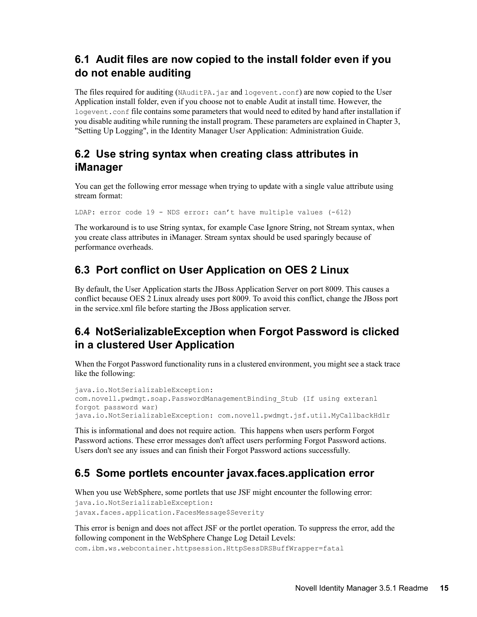### <span id="page-14-0"></span>**6.1 Audit files are now copied to the install folder even if you do not enable auditing**

The files required for auditing (NAuditPA, jar and logevent.conf) are now copied to the User Application install folder, even if you choose not to enable Audit at install time. However, the logevent.conf file contains some parameters that would need to edited by hand after installation if you disable auditing while running the install program. These parameters are explained in Chapter 3, "Setting Up Logging", in the Identity Manager User Application: Administration Guide.

#### <span id="page-14-1"></span>**6.2 Use string syntax when creating class attributes in iManager**

You can get the following error message when trying to update with a single value attribute using stream format:

LDAP: error code 19 - NDS error: can't have multiple values (-612)

The workaround is to use String syntax, for example Case Ignore String, not Stream syntax, when you create class attributes in iManager. Stream syntax should be used sparingly because of performance overheads.

## <span id="page-14-2"></span>**6.3 Port conflict on User Application on OES 2 Linux**

By default, the User Application starts the JBoss Application Server on port 8009. This causes a conflict because OES 2 Linux already uses port 8009. To avoid this conflict, change the JBoss port in the service.xml file before starting the JBoss application server.

#### <span id="page-14-3"></span>**6.4 NotSerializableException when Forgot Password is clicked in a clustered User Application**

When the Forgot Password functionality runs in a clustered environment, you might see a stack trace like the following:

```
java.io.NotSerializableException: 
com.novell.pwdmgt.soap.PasswordManagementBinding_Stub (If using exteranl 
forgot password war)
java.io.NotSerializableException: com.novell.pwdmgt.jsf.util.MyCallbackHdlr
```
This is informational and does not require action. This happens when users perform Forgot Password actions. These error messages don't affect users performing Forgot Password actions. Users don't see any issues and can finish their Forgot Password actions successfully.

## <span id="page-14-4"></span>**6.5 Some portlets encounter javax.faces.application error**

When you use WebSphere, some portlets that use JSF might encounter the following error: java.io.NotSerializableException: javax.faces.application.FacesMessage\$Severity

This error is benign and does not affect JSF or the portlet operation. To suppress the error, add the following component in the WebSphere Change Log Detail Levels: com.ibm.ws.webcontainer.httpsession.HttpSessDRSBuffWrapper=fatal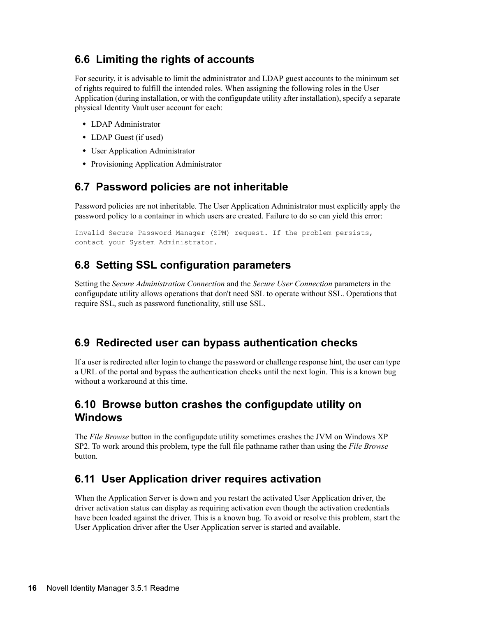#### <span id="page-15-0"></span>**6.6 Limiting the rights of accounts**

For security, it is advisable to limit the administrator and LDAP guest accounts to the minimum set of rights required to fulfill the intended roles. When assigning the following roles in the User Application (during installation, or with the configupdate utility after installation), specify a separate physical Identity Vault user account for each:

- LDAP Administrator
- LDAP Guest (if used)
- User Application Administrator
- Provisioning Application Administrator

#### <span id="page-15-1"></span>**6.7 Password policies are not inheritable**

Password policies are not inheritable. The User Application Administrator must explicitly apply the password policy to a container in which users are created. Failure to do so can yield this error:

Invalid Secure Password Manager (SPM) request. If the problem persists, contact your System Administrator.

#### <span id="page-15-2"></span>**6.8 Setting SSL configuration parameters**

Setting the *Secure Administration Connection* and the *Secure User Connection* parameters in the configupdate utility allows operations that don't need SSL to operate without SSL. Operations that require SSL, such as password functionality, still use SSL.

#### <span id="page-15-3"></span>**6.9 Redirected user can bypass authentication checks**

If a user is redirected after login to change the password or challenge response hint, the user can type a URL of the portal and bypass the authentication checks until the next login. This is a known bug without a workaround at this time.

#### <span id="page-15-4"></span>**6.10 Browse button crashes the configupdate utility on Windows**

The *File Browse* button in the configupdate utility sometimes crashes the JVM on Windows XP SP2. To work around this problem, type the full file pathname rather than using the *File Browse* button.

#### <span id="page-15-5"></span>**6.11 User Application driver requires activation**

When the Application Server is down and you restart the activated User Application driver, the driver activation status can display as requiring activation even though the activation credentials have been loaded against the driver. This is a known bug. To avoid or resolve this problem, start the User Application driver after the User Application server is started and available.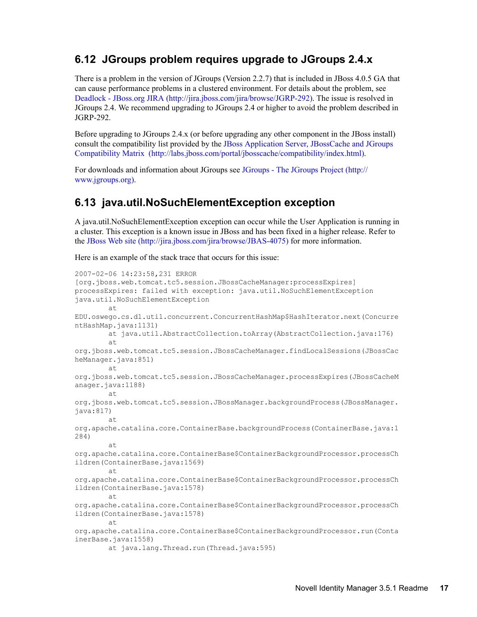#### <span id="page-16-0"></span>**6.12 JGroups problem requires upgrade to JGroups 2.4.x**

There is a problem in the version of JGroups (Version 2.2.7) that is included in JBoss 4.0.5 GA that can cause performance problems in a clustered environment. For details about the problem, see [Deadlock - JBoss.org JIRA](http://jira.jboss.com/jira/browse/JGRP-292) (http://jira.jboss.com/jira/browse/JGRP-292). The issue is resolved in JGroups 2.4. We recommend upgrading to JGroups 2.4 or higher to avoid the problem described in JGRP-292.

Before upgrading to JGroups 2.4.x (or before upgrading any other component in the JBoss install) consult the compatibility list provided by the [JBoss Application Server, JBossCache and JGroups](http://labs.jboss.com/portal/jbosscache/compatibility/index.html)  [Compatibility Matrix](http://labs.jboss.com/portal/jbosscache/compatibility/index.html) (http://labs.jboss.com/portal/jbosscache/compatibility/index.html).

For downloads and information about JGroups see [JGroups - The JGroups Project](http://www.jgroups.org) (http:// www.jgroups.org).

#### <span id="page-16-1"></span>**6.13 java.util.NoSuchElementException exception**

A java.util.NoSuchElementException exception can occur while the User Application is running in a cluster. This exception is a known issue in JBoss and has been fixed in a higher release. Refer to the [JBoss Web site](http://jira.jboss.com/jira/browse/JBAS-4075) (http://jira.jboss.com/jira/browse/JBAS-4075) for more information.

Here is an example of the stack trace that occurs for this issue:

```
2007-02-06 14:23:58,231 ERROR
[org.jboss.web.tomcat.tc5.session.JBossCacheManager:processExpires]
processExpires: failed with exception: java.util.NoSuchElementException
java.util.NoSuchElementException
         at
EDU.oswego.cs.dl.util.concurrent.ConcurrentHashMap$HashIterator.next(Concurre
ntHashMap.java:1131)
         at java.util.AbstractCollection.toArray(AbstractCollection.java:176)
         at
org.jboss.web.tomcat.tc5.session.JBossCacheManager.findLocalSessions(JBossCac
heManager.java:851)
        at
org.jboss.web.tomcat.tc5.session.JBossCacheManager.processExpires(JBossCacheM
anager.java:1188)
         at
org.jboss.web.tomcat.tc5.session.JBossManager.backgroundProcess(JBossManager.
java:817)
         at
org.apache.catalina.core.ContainerBase.backgroundProcess(ContainerBase.java:1
284)
         at
org.apache.catalina.core.ContainerBase$ContainerBackgroundProcessor.processCh
ildren(ContainerBase.java:1569)
         at
org.apache.catalina.core.ContainerBase$ContainerBackgroundProcessor.processCh
ildren(ContainerBase.java:1578)
         at
org.apache.catalina.core.ContainerBase$ContainerBackgroundProcessor.processCh
ildren(ContainerBase.java:1578)
         at
org.apache.catalina.core.ContainerBase$ContainerBackgroundProcessor.run(Conta
inerBase.java:1558)
         at java.lang.Thread.run(Thread.java:595)
```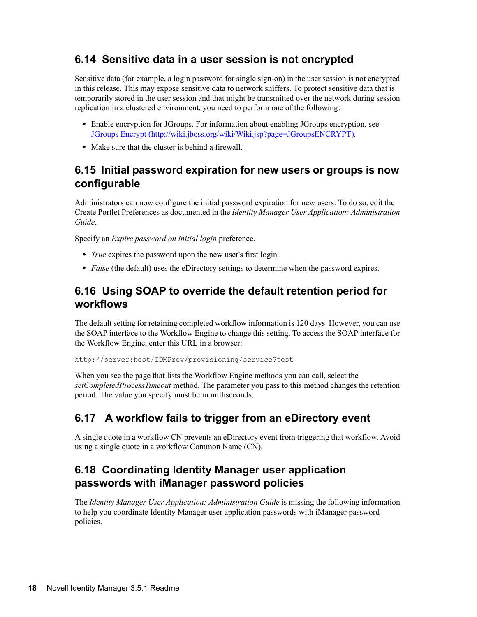#### <span id="page-17-0"></span>**6.14 Sensitive data in a user session is not encrypted**

Sensitive data (for example, a login password for single sign-on) in the user session is not encrypted in this release. This may expose sensitive data to network sniffers. To protect sensitive data that is temporarily stored in the user session and that might be transmitted over the network during session replication in a clustered environment, you need to perform one of the following:

- Enable encryption for JGroups. For information about enabling JGroups encryption, see [JGroups Encrypt](http://wiki.jboss.org/wiki/Wiki.jsp?page=JGroupsENCRYPT) (http://wiki.jboss.org/wiki/Wiki.jsp?page=JGroupsENCRYPT).
- Make sure that the cluster is behind a firewall.

#### <span id="page-17-1"></span>**6.15 Initial password expiration for new users or groups is now configurable**

Administrators can now configure the initial password expiration for new users. To do so, edit the Create Portlet Preferences as documented in the *Identity Manager User Application: Administration Guide*.

Specify an *Expire password on initial login* preference.

- *True* expires the password upon the new user's first login.
- *False* (the default) uses the eDirectory settings to determine when the password expires.

#### <span id="page-17-2"></span>**6.16 Using SOAP to override the default retention period for workflows**

The default setting for retaining completed workflow information is 120 days. However, you can use the SOAP interface to the Workflow Engine to change this setting. To access the SOAP interface for the Workflow Engine, enter this URL in a browser:

http://server:host/IDMProv/provisioning/service?test

When you see the page that lists the Workflow Engine methods you can call, select the *setCompletedProcessTimeout* method. The parameter you pass to this method changes the retention period. The value you specify must be in milliseconds.

### <span id="page-17-3"></span>**6.17 A workflow fails to trigger from an eDirectory event**

A single quote in a workflow CN prevents an eDirectory event from triggering that workflow. Avoid using a single quote in a workflow Common Name (CN).

### <span id="page-17-4"></span>**6.18 Coordinating Identity Manager user application passwords with iManager password policies**

The *Identity Manager User Application: Administration Guide* is missing the following information to help you coordinate Identity Manager user application passwords with iManager password policies.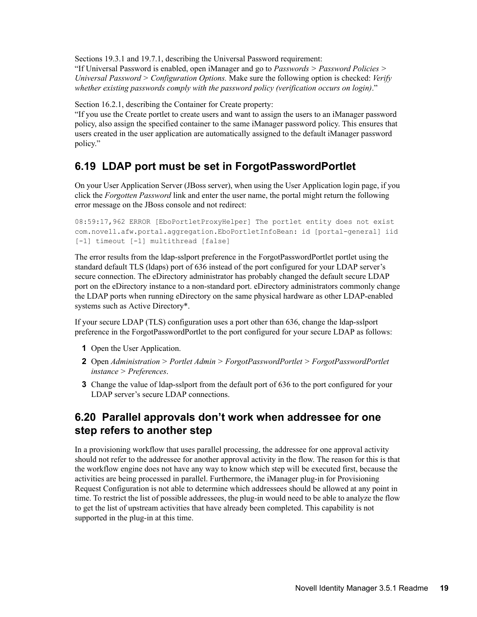Sections 19.3.1 and 19.7.1, describing the Universal Password requirement:

"If Universal Password is enabled, open iManager and go to *Passwords > Password Policies > Universal Password > Configuration Options.* Make sure the following option is checked: *Verify whether existing passwords comply with the password policy (verification occurs on login)*."

Section 16.2.1, describing the Container for Create property:

"If you use the Create portlet to create users and want to assign the users to an iManager password policy, also assign the specified container to the same iManager password policy. This ensures that users created in the user application are automatically assigned to the default iManager password policy."

#### <span id="page-18-0"></span>**6.19 LDAP port must be set in ForgotPasswordPortlet**

On your User Application Server (JBoss server), when using the User Application login page, if you click the *Forgotten Password* link and enter the user name, the portal might return the following error message on the JBoss console and not redirect:

```
08:59:17,962 ERROR [EboPortletProxyHelper] The portlet entity does not exist 
com.novell.afw.portal.aggregation.EboPortletInfoBean: id [portal-general] iid 
[-1] timeout [-1] multithread [false]
```
The error results from the ldap-sslport preference in the ForgotPasswordPortlet portlet using the standard default TLS (ldaps) port of 636 instead of the port configured for your LDAP server's secure connection. The eDirectory administrator has probably changed the default secure LDAP port on the eDirectory instance to a non-standard port. eDirectory administrators commonly change the LDAP ports when running eDirectory on the same physical hardware as other LDAP-enabled systems such as Active Directory\*.

If your secure LDAP (TLS) configuration uses a port other than 636, change the ldap-sslport preference in the ForgotPasswordPortlet to the port configured for your secure LDAP as follows:

- **1** Open the User Application.
- **2** Open *Administration > Portlet Admin > ForgotPasswordPortlet > ForgotPasswordPortlet instance > Preferences*.
- **3** Change the value of ldap-sslport from the default port of 636 to the port configured for your LDAP server's secure LDAP connections.

#### <span id="page-18-1"></span>**6.20 Parallel approvals don't work when addressee for one step refers to another step**

In a provisioning workflow that uses parallel processing, the addressee for one approval activity should not refer to the addressee for another approval activity in the flow. The reason for this is that the workflow engine does not have any way to know which step will be executed first, because the activities are being processed in parallel. Furthermore, the iManager plug-in for Provisioning Request Configuration is not able to determine which addressees should be allowed at any point in time. To restrict the list of possible addressees, the plug-in would need to be able to analyze the flow to get the list of upstream activities that have already been completed. This capability is not supported in the plug-in at this time.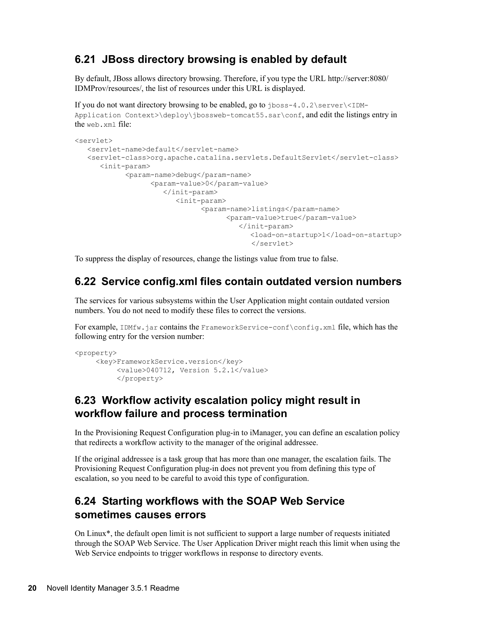#### <span id="page-19-0"></span>**6.21 JBoss directory browsing is enabled by default**

By default, JBoss allows directory browsing. Therefore, if you type the URL http://server:8080/ IDMProv/resources/, the list of resources under this URL is displayed.

If you do not want directory browsing to be enabled, go to jboss-4.0.2\server\<IDM-Application Context>\deploy\jbossweb-tomcat55.sar\conf, and edit the listings entry in the web.xml file:

```
<servlet>
   <servlet-name>default</servlet-name>
   <servlet-class>org.apache.catalina.servlets.DefaultServlet</servlet-class>
       <init-param>
             <param-name>debug</param-name>
                   <param-value>0</param-value>
                      </init-param>
                         <init-param>
                                <param-name>listings</param-name>
                                      <param-value>true</param-value>
                                         </init-param>
                                             <load-on-startup>1</load-on-startup>
                                             </servlet>
```
To suppress the display of resources, change the listings value from true to false.

#### <span id="page-19-1"></span>**6.22 Service config.xml files contain outdated version numbers**

The services for various subsystems within the User Application might contain outdated version numbers. You do not need to modify these files to correct the versions.

For example, IDMfw.jar contains the FrameworkService-conf\config.xml file, which has the following entry for the version number:

```
<property>
      <key>FrameworkService.version</key>
           <value>040712, Version 5.2.1</value>
           </property>
```
#### <span id="page-19-2"></span>**6.23 Workflow activity escalation policy might result in workflow failure and process termination**

In the Provisioning Request Configuration plug-in to iManager, you can define an escalation policy that redirects a workflow activity to the manager of the original addressee.

If the original addressee is a task group that has more than one manager, the escalation fails. The Provisioning Request Configuration plug-in does not prevent you from defining this type of escalation, so you need to be careful to avoid this type of configuration.

### <span id="page-19-3"></span>**6.24 Starting workflows with the SOAP Web Service sometimes causes errors**

On Linux\*, the default open limit is not sufficient to support a large number of requests initiated through the SOAP Web Service. The User Application Driver might reach this limit when using the Web Service endpoints to trigger workflows in response to directory events.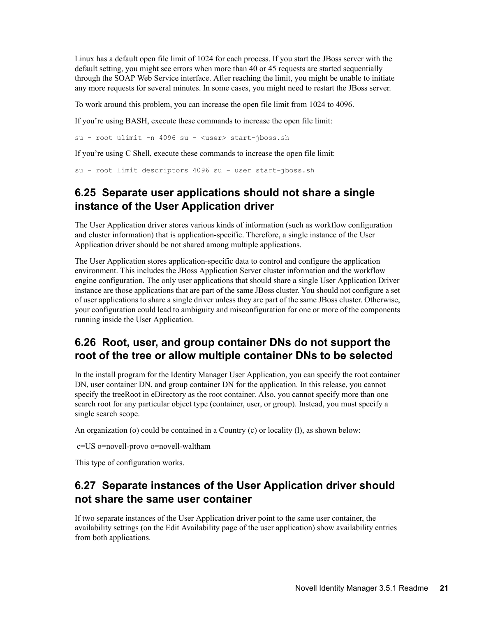Linux has a default open file limit of 1024 for each process. If you start the JBoss server with the default setting, you might see errors when more than 40 or 45 requests are started sequentially through the SOAP Web Service interface. After reaching the limit, you might be unable to initiate any more requests for several minutes. In some cases, you might need to restart the JBoss server.

To work around this problem, you can increase the open file limit from 1024 to 4096.

If you're using BASH, execute these commands to increase the open file limit:

su - root ulimit -n 4096 su - <user> start-jboss.sh

If you're using C Shell, execute these commands to increase the open file limit:

su - root limit descriptors 4096 su - user start-jboss.sh

#### <span id="page-20-0"></span>**6.25 Separate user applications should not share a single instance of the User Application driver**

The User Application driver stores various kinds of information (such as workflow configuration and cluster information) that is application-specific. Therefore, a single instance of the User Application driver should be not shared among multiple applications.

The User Application stores application-specific data to control and configure the application environment. This includes the JBoss Application Server cluster information and the workflow engine configuration. The only user applications that should share a single User Application Driver instance are those applications that are part of the same JBoss cluster. You should not configure a set of user applications to share a single driver unless they are part of the same JBoss cluster. Otherwise, your configuration could lead to ambiguity and misconfiguration for one or more of the components running inside the User Application.

#### <span id="page-20-1"></span>**6.26 Root, user, and group container DNs do not support the root of the tree or allow multiple container DNs to be selected**

In the install program for the Identity Manager User Application, you can specify the root container DN, user container DN, and group container DN for the application. In this release, you cannot specify the treeRoot in eDirectory as the root container. Also, you cannot specify more than one search root for any particular object type (container, user, or group). Instead, you must specify a single search scope.

An organization (o) could be contained in a Country (c) or locality (l), as shown below:

c=US o=novell-provo o=novell-waltham

This type of configuration works.

#### <span id="page-20-2"></span>**6.27 Separate instances of the User Application driver should not share the same user container**

If two separate instances of the User Application driver point to the same user container, the availability settings (on the Edit Availability page of the user application) show availability entries from both applications.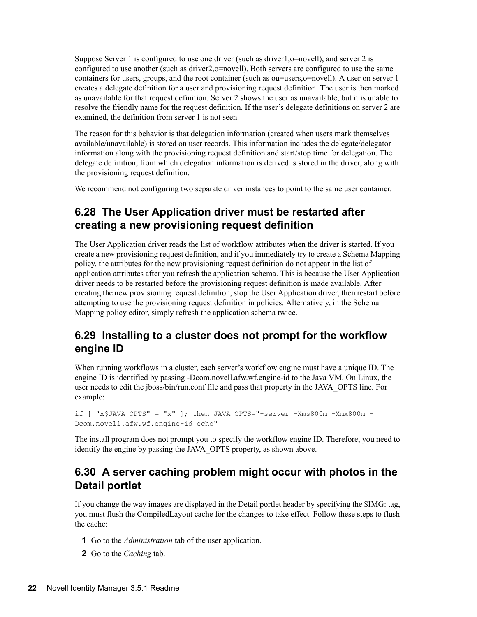Suppose Server 1 is configured to use one driver (such as driver1,o=novell), and server 2 is configured to use another (such as driver2,o=novell). Both servers are configured to use the same containers for users, groups, and the root container (such as ou=users,o=novell). A user on server 1 creates a delegate definition for a user and provisioning request definition. The user is then marked as unavailable for that request definition. Server 2 shows the user as unavailable, but it is unable to resolve the friendly name for the request definition. If the user's delegate definitions on server 2 are examined, the definition from server 1 is not seen.

The reason for this behavior is that delegation information (created when users mark themselves available/unavailable) is stored on user records. This information includes the delegate/delegator information along with the provisioning request definition and start/stop time for delegation. The delegate definition, from which delegation information is derived is stored in the driver, along with the provisioning request definition.

We recommend not configuring two separate driver instances to point to the same user container.

### <span id="page-21-0"></span>**6.28 The User Application driver must be restarted after creating a new provisioning request definition**

The User Application driver reads the list of workflow attributes when the driver is started. If you create a new provisioning request definition, and if you immediately try to create a Schema Mapping policy, the attributes for the new provisioning request definition do not appear in the list of application attributes after you refresh the application schema. This is because the User Application driver needs to be restarted before the provisioning request definition is made available. After creating the new provisioning request definition, stop the User Application driver, then restart before attempting to use the provisioning request definition in policies. Alternatively, in the Schema Mapping policy editor, simply refresh the application schema twice.

#### <span id="page-21-1"></span>**6.29 Installing to a cluster does not prompt for the workflow engine ID**

When running workflows in a cluster, each server's workflow engine must have a unique ID. The engine ID is identified by passing -Dcom.novell.afw.wf.engine-id to the Java VM. On Linux, the user needs to edit the jboss/bin/run.conf file and pass that property in the JAVA\_OPTS line. For example:

if  $[$  "x\$JAVA OPTS" = "x" ]; then JAVA OPTS="-server -Xms800m -Xmx800m -Dcom.novell.afw.wf.engine-id=echo"

The install program does not prompt you to specify the workflow engine ID. Therefore, you need to identify the engine by passing the JAVA\_OPTS property, as shown above.

#### <span id="page-21-2"></span>**6.30 A server caching problem might occur with photos in the Detail portlet**

If you change the way images are displayed in the Detail portlet header by specifying the \$IMG: tag, you must flush the CompiledLayout cache for the changes to take effect. Follow these steps to flush the cache:

- **1** Go to the *Administration* tab of the user application.
- **2** Go to the *Caching* tab.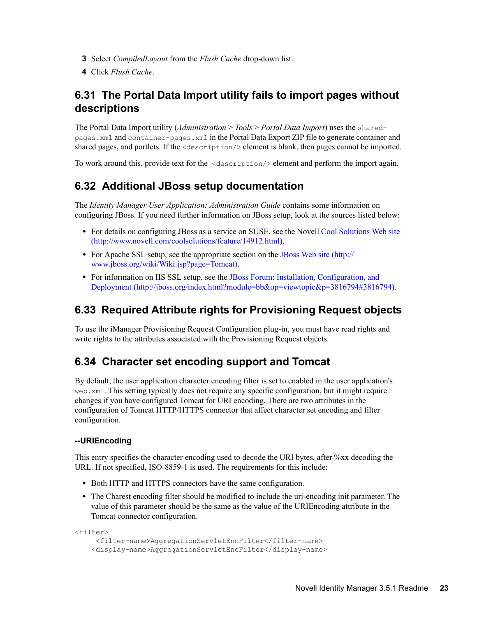- **3** Select *CompiledLayout* from the *Flush Cache* drop-down list.
- **4** Click *Flush Cache*.

#### <span id="page-22-0"></span>**6.31 The Portal Data Import utility fails to import pages without descriptions**

The Portal Data Import utility (*Administration* > *Tools* > *Portal Data Import*) uses the sharedpages.xml and container-pages.xml in the Portal Data Export ZIP file to generate container and shared pages, and portlets. If the  $\leq$  description  $\geq$  element is blank, then pages cannot be imported.

To work around this, provide text for the <description/> element and perform the import again.

#### <span id="page-22-1"></span>**6.32 Additional JBoss setup documentation**

The *Identity Manager User Application: Administration Guide* contains some information on configuring JBoss. If you need further information on JBoss setup, look at the sources listed below:

- For details on configuring JBoss as a service on SUSE, see the Novell [Cool Solutions Web site](http://www.novell.com/coolsolutions/feature/14912.html) (http://www.novell.com/coolsolutions/feature/14912.html).
- For Apache SSL setup, see the appropriate section on the [JBoss Web site](http://www.jboss.org/wiki/Wiki.jsp?page=Tomcat) (http:// www.jboss.org/wiki/Wiki.jsp?page=Tomcat).
- For information on IIS SSL setup, see the [JBoss Forum: Installation, Configuration, and](http://jboss.org/index.html?module=bb&op=viewtopic&p=3816794#3816794)  [Deployment](http://jboss.org/index.html?module=bb&op=viewtopic&p=3816794#3816794) (http://jboss.org/index.html?module=bb&op=viewtopic&p=3816794#3816794).

#### <span id="page-22-2"></span>**6.33 Required Attribute rights for Provisioning Request objects**

To use the iManager Provisioning Request Configuration plug-in, you must have read rights and write rights to the attributes associated with the Provisioning Request objects.

#### <span id="page-22-3"></span>**6.34 Character set encoding support and Tomcat**

By default, the user application character encoding filter is set to enabled in the user application's web.xml. This setting typically does not require any specific configuration, but it might require changes if you have configured Tomcat for URI encoding. There are two attributes in the configuration of Tomcat HTTP/HTTPS connector that affect character set encoding and filter configuration.

#### **--URIEncoding**

This entry specifies the character encoding used to decode the URI bytes, after %xx decoding the URL. If not specified, ISO-8859-1 is used. The requirements for this include:

- Both HTTP and HTTPS connectors have the same configuration.
- The Charest encoding filter should be modified to include the uri-encoding init parameter. The value of this parameter should be the same as the value of the URIEncoding attribute in the Tomcat connector configuration.

```
<filter>
     <filter-name>AggregationServletEncFilter</filter-name>
     <display-name>AggregationServletEncFilter</display-name>
```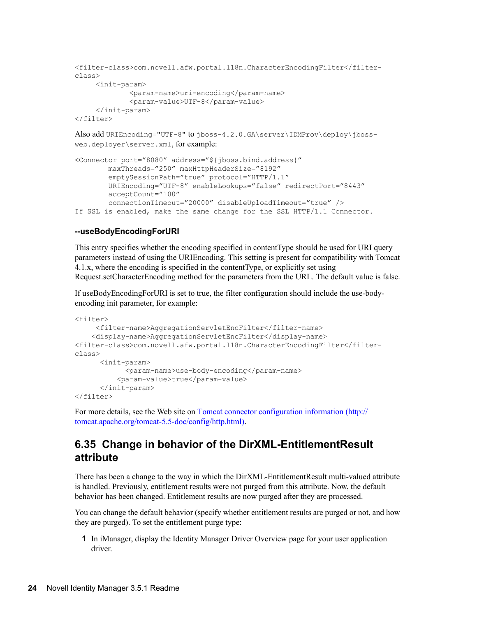```
<filter-class>com.novell.afw.portal.l18n.CharacterEncodingFilter</filter-
class>
     <init-param>
              <param-name>uri-encoding</param-name>
              <param-value>UTF-8</param-value>
     </init-param>
</filter>
```
Also add URIEncoding="UTF-8" to jboss-4.2.0.GA\server\IDMProv\deploy\jbossweb.deployer\server.xml, for example:

```
<Connector port="8080" address="${jboss.bind.address}"
        maxThreads="250" maxHttpHeaderSize="8192"
        emptySessionPath="true" protocol="HTTP/1.1"
        URIEncoding="UTF-8" enableLookups="false" redirectPort="8443"
        acceptCount="100"
        connectionTimeout="20000" disableUploadTimeout="true" />
If SSL is enabled, make the same change for the SSL HTTP/1.1 Connector.
```
#### **--useBodyEncodingForURI**

This entry specifies whether the encoding specified in contentType should be used for URI query parameters instead of using the URIEncoding. This setting is present for compatibility with Tomcat 4.1.x, where the encoding is specified in the contentType, or explicitly set using Request.setCharacterEncoding method for the parameters from the URL. The default value is false.

If useBodyEncodingForURI is set to true, the filter configuration should include the use-bodyencoding init parameter, for example:

```
<filter>
     <filter-name>AggregationServletEncFilter</filter-name>
     <display-name>AggregationServletEncFilter</display-name>
<filter-class>com.novell.afw.portal.l18n.CharacterEncodingFilter</filter-
class>
      <init-param>
            <param-name>use-body-encoding</param-name>
          <param-value>true</param-value>
       </init-param>
</filter>
```
For more details, see the Web site on [Tomcat connector configuration information](http://tomcat.apache.org/tomcat-5.5-doc/config/http.html) (http:// tomcat.apache.org/tomcat-5.5-doc/config/http.html).

#### <span id="page-23-0"></span>**6.35 Change in behavior of the DirXML-EntitlementResult attribute**

There has been a change to the way in which the DirXML-EntitlementResult multi-valued attribute is handled. Previously, entitlement results were not purged from this attribute. Now, the default behavior has been changed. Entitlement results are now purged after they are processed.

You can change the default behavior (specify whether entitlement results are purged or not, and how they are purged). To set the entitlement purge type:

**1** In iManager, display the Identity Manager Driver Overview page for your user application driver.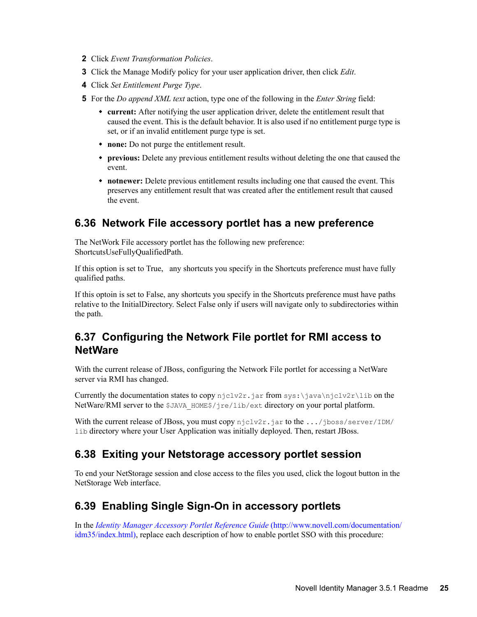- **2** Click *Event Transformation Policies*.
- **3** Click the Manage Modify policy for your user application driver, then click *Edit*.
- **4** Click *Set Entitlement Purge Type*.
- **5** For the *Do append XML text* action, type one of the following in the *Enter String* field:
	- **current:** After notifying the user application driver, delete the entitlement result that caused the event. This is the default behavior. It is also used if no entitlement purge type is set, or if an invalid entitlement purge type is set.
	- **none:** Do not purge the entitlement result.
	- **previous:** Delete any previous entitlement results without deleting the one that caused the event.
	- **notnewer:** Delete previous entitlement results including one that caused the event. This preserves any entitlement result that was created after the entitlement result that caused the event.

#### <span id="page-24-0"></span>**6.36 Network File accessory portlet has a new preference**

The NetWork File accessory portlet has the following new preference: ShortcutsUseFullyQualifiedPath.

If this option is set to True, any shortcuts you specify in the Shortcuts preference must have fully qualified paths.

If this optoin is set to False, any shortcuts you specify in the Shortcuts preference must have paths relative to the InitialDirectory. Select False only if users will navigate only to subdirectories within the path.

#### <span id="page-24-1"></span>**6.37 Configuring the Network File portlet for RMI access to NetWare**

With the current release of JBoss, configuring the Network File portlet for accessing a NetWare server via RMI has changed.

Currently the documentation states to copy  $njclv2r$ , jar from sys:\java\njclv2r\lib on the NetWare/RMI server to the \$JAVA\_HOME\$/jre/lib/ext directory on your portal platform.

With the current release of JBoss, you must copy  $njclv2r$ . jar to the .../jboss/server/IDM/ lib directory where your User Application was initially deployed. Then, restart JBoss.

#### <span id="page-24-2"></span>**6.38 Exiting your Netstorage accessory portlet session**

To end your NetStorage session and close access to the files you used, click the logout button in the NetStorage Web interface.

#### <span id="page-24-3"></span>**6.39 Enabling Single Sign-On in accessory portlets**

In the *[Identity Manager Accessory Portlet Reference Guide](http://www.novell.com/documentation/idm35/index.html)* (http://www.novell.com/documentation/ idm35/index.html), replace each description of how to enable portlet SSO with this procedure: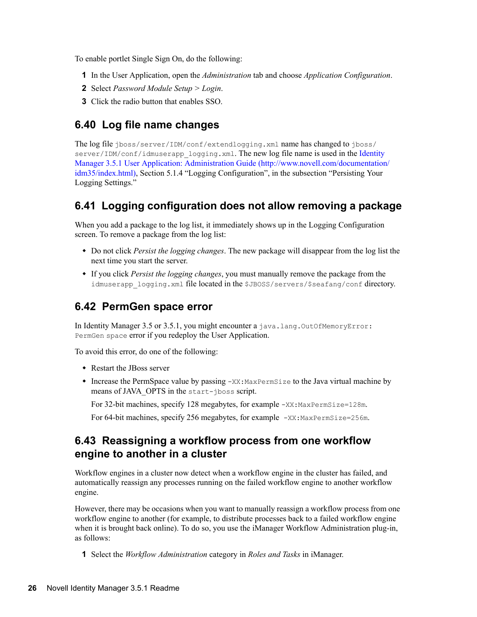To enable portlet Single Sign On, do the following:

- **1** In the User Application, open the *Administration* tab and choose *Application Configuration*.
- **2** Select *Password Module Setup > Login*.
- **3** Click the radio button that enables SSO.

#### <span id="page-25-0"></span>**6.40 Log file name changes**

The log file jboss/server/IDM/conf/extendlogging.xml name has changed to jboss/ server/IDM/conf/idmuserapp\_logging.xml. The new log file name is used in the Identity [Manager 3.5.1 User Application: Administration Guide](http://www.novell.com/documentation/idm35/index.html) (http://www.novell.com/documentation/ idm35/index.html), Section 5.1.4 "Logging Configuration", in the subsection "Persisting Your Logging Settings."

#### <span id="page-25-1"></span>**6.41 Logging configuration does not allow removing a package**

When you add a package to the log list, it immediately shows up in the Logging Configuration screen. To remove a package from the log list:

- Do not click *Persist the logging changes*. The new package will disappear from the log list the next time you start the server.
- If you click *Persist the logging changes*, you must manually remove the package from the idmuserapp logging.xml file located in the \$JBOSS/servers/\$seafang/conf directory.

#### <span id="page-25-2"></span>**6.42 PermGen space error**

In Identity Manager 3.5 or 3.5.1, you might encounter a java.lang.OutOfMemoryError: PermGen space error if you redeploy the User Application.

To avoid this error, do one of the following:

- Restart the JBoss server
- $\bullet$  Increase the PermSpace value by passing  $-XX: MaxPermSize$  to the Java virtual machine by means of JAVA\_OPTS in the start-jboss script.

For 32-bit machines, specify 128 megabytes, for example  $-XX: MaxPermSize = 128m$ .

For 64-bit machines, specify 256 megabytes, for example  $-XX: MaxPermsize=256m$ .

#### <span id="page-25-3"></span>**6.43 Reassigning a workflow process from one workflow engine to another in a cluster**

Workflow engines in a cluster now detect when a workflow engine in the cluster has failed, and automatically reassign any processes running on the failed workflow engine to another workflow engine.

However, there may be occasions when you want to manually reassign a workflow process from one workflow engine to another (for example, to distribute processes back to a failed workflow engine when it is brought back online). To do so, you use the iManager Workflow Administration plug-in, as follows:

**1** Select the *Workflow Administration* category in *Roles and Tasks* in iManager.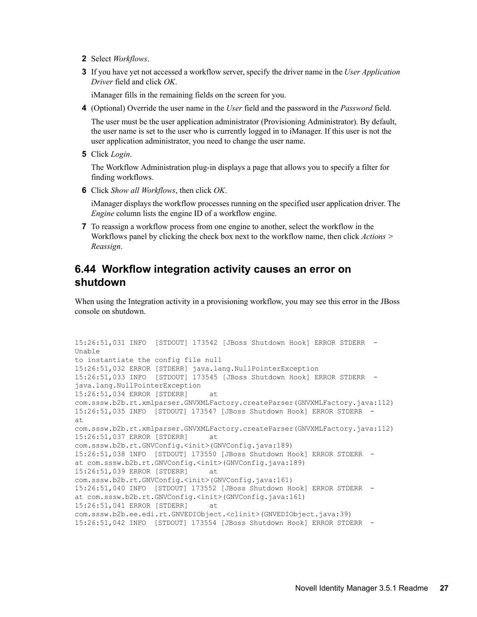- **2** Select *Workflows*.
- **3** If you have yet not accessed a workflow server, specify the driver name in the *User Application Driver* field and click *OK*.

iManager fills in the remaining fields on the screen for you.

**4** (Optional) Override the user name in the *User* field and the password in the *Password* field.

The user must be the user application administrator (Provisioning Administrator). By default, the user name is set to the user who is currently logged in to iManager. If this user is not the user application administrator, you need to change the user name.

**5** Click *Login*.

The Workflow Administration plug-in displays a page that allows you to specify a filter for finding workflows.

**6** Click *Show all Workflows*, then click *OK*.

iManager displays the workflow processes running on the specified user application driver. The *Engine* column lists the engine ID of a workflow engine.

**7** To reassign a workflow process from one engine to another, select the workflow in the Workflows panel by clicking the check box next to the workflow name, then click *Actions > Reassign*.

#### <span id="page-26-0"></span>**6.44 Workflow integration activity causes an error on shutdown**

When using the Integration activity in a provisioning workflow, you may see this error in the JBoss console on shutdown.

```
15:26:51,031 INFO [STDOUT] 173542 [JBoss Shutdown Hook] ERROR STDERR - 
Unable
to instantiate the config file null
15:26:51,032 ERROR [STDERR] java.lang.NullPointerException
15:26:51,033 INFO [STDOUT] 173545 [JBoss Shutdown Hook] ERROR STDERR -
java.lang.NullPointerException
15:26:51,034 ERROR [STDERR] at
com.sssw.b2b.rt.xmlparser.GNVXMLFactory.createParser(GNVXMLFactory.java:112)
15:26:51,035 INFO [STDOUT] 173547 [JBoss Shutdown Hook] ERROR STDERR - 
at 
com.sssw.b2b.rt.xmlparser.GNVXMLFactory.createParser(GNVXMLFactory.java:112)
15:26:51,037 ERROR [STDERR] at
com.sssw.b2b.rt.GNVConfig.<init>(GNVConfig.java:189)
15:26:51,038 INFO [STDOUT] 173550 [JBoss Shutdown Hook] ERROR STDERR - 
at com.sssw.b2b.rt.GNVConfig.<init>(GNVConfig.java:189)
15:26:51,039 ERROR [STDERR] at
com.sssw.b2b.rt.GNVConfig.<init>(GNVConfig.java:161)
15:26:51,040 INFO [STDOUT] 173552 [JBoss Shutdown Hook] ERROR STDERR - 
at com.sssw.b2b.rt.GNVConfig.<init>(GNVConfig.java:161)
15:26:51,041 ERROR [STDERR] at
com.sssw.b2b.ee.edi.rt.GNVEDIObject.<clinit>(GNVEDIObject.java:39)
15:26:51,042 INFO [STDOUT] 173554 [JBoss Shutdown Hook] ERROR STDERR -
```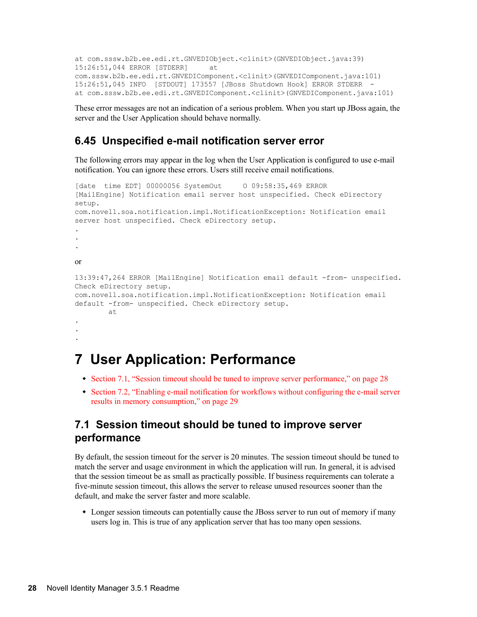```
at com.sssw.b2b.ee.edi.rt.GNVEDIObject.<clinit>(GNVEDIObject.java:39)
15:26:51,044 ERROR [STDERR] at
com.sssw.b2b.ee.edi.rt.GNVEDIComponent.<clinit>(GNVEDIComponent.java:101)
15:26:51,045 INFO [STDOUT] 173557 [JBoss Shutdown Hook] ERROR STDERR - 
at com.sssw.b2b.ee.edi.rt.GNVEDIComponent.<clinit>(GNVEDIComponent.java:101)
```
These error messages are not an indication of a serious problem. When you start up JBoss again, the server and the User Application should behave normally.

#### <span id="page-27-1"></span>**6.45 Unspecified e-mail notification server error**

The following errors may appear in the log when the User Application is configured to use e-mail notification. You can ignore these errors. Users still receive email notifications.

```
[date time EDT] 00000056 SystemOut 0 09:58:35,469 ERROR
[MailEngine] Notification email server host unspecified. Check eDirectory
setup.
com.novell.soa.notification.impl.NotificationException: Notification email
server host unspecified. Check eDirectory setup.
.
.
.
or
13:39:47,264 ERROR [MailEngine] Notification email default -from- unspecified.
Check eDirectory setup.
com.novell.soa.notification.impl.NotificationException: Notification email
default -from- unspecified. Check eDirectory setup.
        at
.
.
.
```
## <span id="page-27-0"></span>**7 User Application: Performance**

- [Section 7.1, "Session timeout should be tuned to improve server performance," on page 28](#page-27-2)
- [Section 7.2, "Enabling e-mail notification for workflows without configuring the e-mail server](#page-28-1)  [results in memory consumption," on page 29](#page-28-1)

#### <span id="page-27-2"></span>**7.1 Session timeout should be tuned to improve server performance**

By default, the session timeout for the server is 20 minutes. The session timeout should be tuned to match the server and usage environment in which the application will run. In general, it is advised that the session timeout be as small as practically possible. If business requirements can tolerate a five-minute session timeout, this allows the server to release unused resources sooner than the default, and make the server faster and more scalable.

 Longer session timeouts can potentially cause the JBoss server to run out of memory if many users log in. This is true of any application server that has too many open sessions.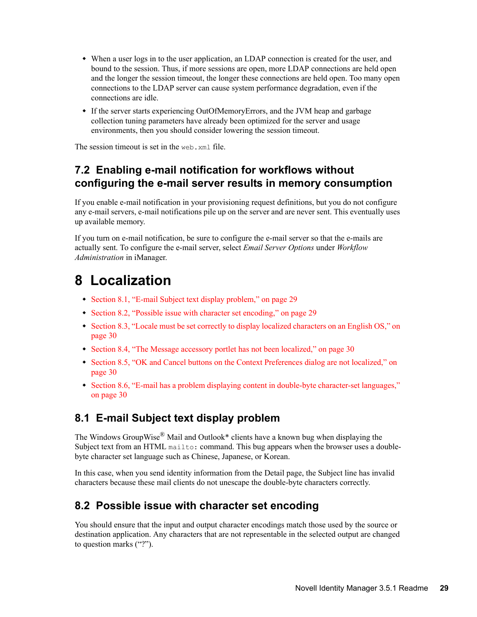- When a user logs in to the user application, an LDAP connection is created for the user, and bound to the session. Thus, if more sessions are open, more LDAP connections are held open and the longer the session timeout, the longer these connections are held open. Too many open connections to the LDAP server can cause system performance degradation, even if the connections are idle.
- If the server starts experiencing OutOfMemoryErrors, and the JVM heap and garbage collection tuning parameters have already been optimized for the server and usage environments, then you should consider lowering the session timeout.

The session timeout is set in the web.  $xml$  file.

#### <span id="page-28-1"></span>**7.2 Enabling e-mail notification for workflows without configuring the e-mail server results in memory consumption**

If you enable e-mail notification in your provisioning request definitions, but you do not configure any e-mail servers, e-mail notifications pile up on the server and are never sent. This eventually uses up available memory.

If you turn on e-mail notification, be sure to configure the e-mail server so that the e-mails are actually sent. To configure the e-mail server, select *Email Server Options* under *Workflow Administration* in iManager.

## <span id="page-28-0"></span>**8 Localization**

- [Section 8.1, "E-mail Subject text display problem," on page 29](#page-28-2)
- [Section 8.2, "Possible issue with character set encoding," on page 29](#page-28-3)
- [Section 8.3, "Locale must be set correctly to display localized characters on an English OS," on](#page-29-1)  [page 30](#page-29-1)
- [Section 8.4, "The Message accessory portlet has not been localized," on page 30](#page-29-2)
- Section 8.5, "OK and Cancel buttons on the Context Preferences dialog are not localized," on [page 30](#page-29-3)
- [Section 8.6, "E-mail has a problem displaying content in double-byte character-set languages,"](#page-29-4)  [on page 30](#page-29-4)

#### <span id="page-28-2"></span>**8.1 E-mail Subject text display problem**

The Windows GroupWise® Mail and Outlook\* clients have a known bug when displaying the Subject text from an HTML mailto: command. This bug appears when the browser uses a doublebyte character set language such as Chinese, Japanese, or Korean.

In this case, when you send identity information from the Detail page, the Subject line has invalid characters because these mail clients do not unescape the double-byte characters correctly.

#### <span id="page-28-3"></span>**8.2 Possible issue with character set encoding**

You should ensure that the input and output character encodings match those used by the source or destination application. Any characters that are not representable in the selected output are changed to question marks ("?").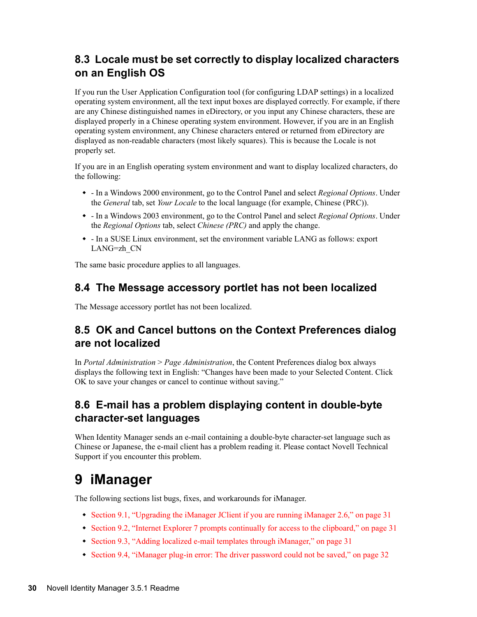#### <span id="page-29-1"></span>**8.3 Locale must be set correctly to display localized characters on an English OS**

If you run the User Application Configuration tool (for configuring LDAP settings) in a localized operating system environment, all the text input boxes are displayed correctly. For example, if there are any Chinese distinguished names in eDirectory, or you input any Chinese characters, these are displayed properly in a Chinese operating system environment. However, if you are in an English operating system environment, any Chinese characters entered or returned from eDirectory are displayed as non-readable characters (most likely squares). This is because the Locale is not properly set.

If you are in an English operating system environment and want to display localized characters, do the following:

- In a Windows 2000 environment, go to the Control Panel and select *Regional Options*. Under the *General* tab, set *Your Locale* to the local language (for example, Chinese (PRC)).
- In a Windows 2003 environment, go to the Control Panel and select *Regional Options*. Under the *Regional Options* tab, select *Chinese (PRC)* and apply the change.
- In a SUSE Linux environment, set the environment variable LANG as follows: export LANG=zh\_CN

The same basic procedure applies to all languages.

#### <span id="page-29-2"></span>**8.4 The Message accessory portlet has not been localized**

The Message accessory portlet has not been localized.

#### <span id="page-29-3"></span>**8.5 OK and Cancel buttons on the Context Preferences dialog are not localized**

In *Portal Administration* > *Page Administration*, the Content Preferences dialog box always displays the following text in English: "Changes have been made to your Selected Content. Click OK to save your changes or cancel to continue without saving."

#### <span id="page-29-4"></span>**8.6 E-mail has a problem displaying content in double-byte character-set languages**

When Identity Manager sends an e-mail containing a double-byte character-set language such as Chinese or Japanese, the e-mail client has a problem reading it. Please contact Novell Technical Support if you encounter this problem.

## <span id="page-29-0"></span>**9 iManager**

The following sections list bugs, fixes, and workarounds for iManager.

- [Section 9.1, "Upgrading the iManager JClient if you are running iManager 2.6," on page 31](#page-30-0)
- [Section 9.2, "Internet Explorer 7 prompts continually for access to the clipboard," on page 31](#page-30-1)
- [Section 9.3, "Adding localized e-mail templates through iManager," on page 31](#page-30-2)
- [Section 9.4, "iManager plug-in error: The driver password could not be saved," on page 32](#page-31-2)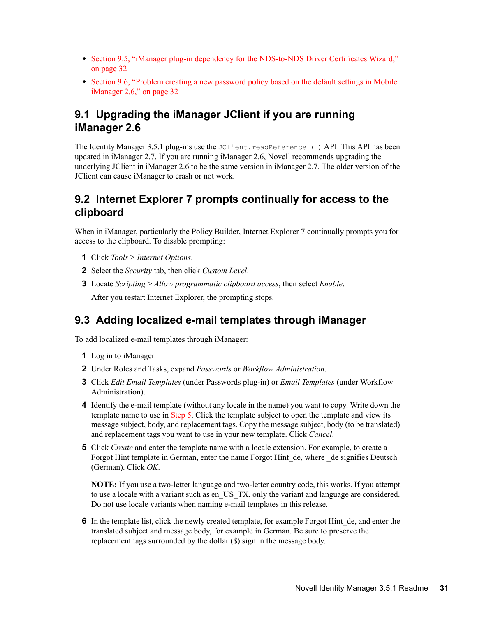- [Section 9.5, "iManager plug-in dependency for the NDS-to-NDS Driver Certificates Wizard,"](#page-31-3)  [on page 32](#page-31-3)
- Section 9.6, "Problem creating a new password policy based on the default settings in Mobile [iManager 2.6," on page 32](#page-31-4)

#### <span id="page-30-0"></span>**9.1 Upgrading the iManager JClient if you are running iManager 2.6**

The Identity Manager 3.5.1 plug-ins use the JClient.readReference () API. This API has been updated in iManager 2.7. If you are running iManager 2.6, Novell recommends upgrading the underlying JClient in iManager 2.6 to be the same version in iManager 2.7. The older version of the JClient can cause iManager to crash or not work.

#### <span id="page-30-1"></span>**9.2 Internet Explorer 7 prompts continually for access to the clipboard**

When in iManager, particularly the Policy Builder, Internet Explorer 7 continually prompts you for access to the clipboard. To disable prompting:

- **1** Click *Tools* > *Internet Options*.
- **2** Select the *Security* tab, then click *Custom Level*.
- **3** Locate *Scripting* > *Allow programmatic clipboard access*, then select *Enable*. After you restart Internet Explorer, the prompting stops.

#### <span id="page-30-2"></span>**9.3 Adding localized e-mail templates through iManager**

To add localized e-mail templates through iManager:

- **1** Log in to iManager.
- **2** Under Roles and Tasks, expand *Passwords* or *Workflow Administration*.
- **3** Click *Edit Email Templates* (under Passwords plug-in) or *Email Templates* (under Workflow Administration).
- **4** Identify the e-mail template (without any locale in the name) you want to copy. Write down the template name to use in [Step 5.](#page-30-3) Click the template subject to open the template and view its message subject, body, and replacement tags. Copy the message subject, body (to be translated) and replacement tags you want to use in your new template. Click *Cancel*.
- <span id="page-30-3"></span>**5** Click *Create* and enter the template name with a locale extension. For example, to create a Forgot Hint template in German, enter the name Forgot Hint\_de, where \_de signifies Deutsch (German). Click *OK*.

**NOTE:** If you use a two-letter language and two-letter country code, this works. If you attempt to use a locale with a variant such as en\_US\_TX, only the variant and language are considered. Do not use locale variants when naming e-mail templates in this release.

**6** In the template list, click the newly created template, for example Forgot Hint de, and enter the translated subject and message body, for example in German. Be sure to preserve the replacement tags surrounded by the dollar (\$) sign in the message body.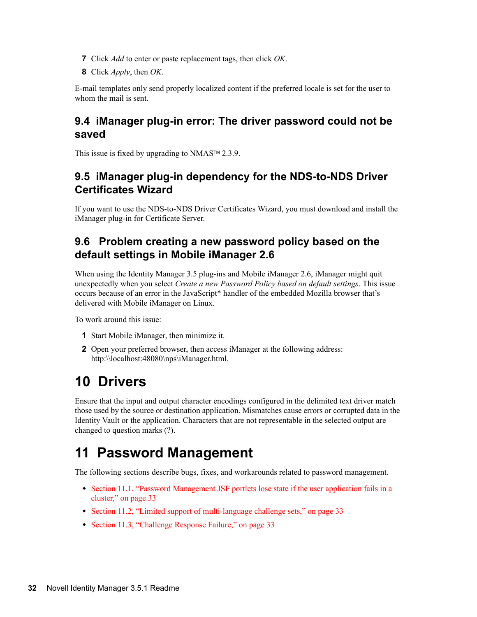- **7** Click *Add* to enter or paste replacement tags, then click *OK*.
- **8** Click *Apply*, then *OK*.

E-mail templates only send properly localized content if the preferred locale is set for the user to whom the mail is sent.

#### <span id="page-31-2"></span>**9.4 iManager plug-in error: The driver password could not be saved**

This issue is fixed by upgrading to  $NMAS^{TM}$  2.3.9.

#### <span id="page-31-3"></span>**9.5 iManager plug-in dependency for the NDS-to-NDS Driver Certificates Wizard**

If you want to use the NDS-to-NDS Driver Certificates Wizard, you must download and install the iManager plug-in for Certificate Server.

#### <span id="page-31-4"></span>**9.6 Problem creating a new password policy based on the default settings in Mobile iManager 2.6**

When using the Identity Manager 3.5 plug-ins and Mobile iManager 2.6, iManager might quit unexpectedly when you select *Create a new Password Policy based on default settings*. This issue occurs because of an error in the JavaScript\* handler of the embedded Mozilla browser that's delivered with Mobile iManager on Linux.

To work around this issue:

- **1** Start Mobile iManager, then minimize it.
- **2** Open your preferred browser, then access iManager at the following address: http:\\localhost:48080\nps\iManager.html.

# <span id="page-31-0"></span>**10 Drivers**

Ensure that the input and output character encodings configured in the delimited text driver match those used by the source or destination application. Mismatches cause errors or corrupted data in the Identity Vault or the application. Characters that are not representable in the selected output are changed to question marks (?).

# <span id="page-31-1"></span>**11 Password Management**

The following sections describe bugs, fixes, and workarounds related to password management.

- Section 11.1, "Password Management JSF portlets lose state if the user application fails in a [cluster," on page 33](#page-32-1)
- [Section 11.2, "Limited support of multi-language challenge sets," on page 33](#page-32-2)
- [Section 11.3, "Challenge Response Failure," on page 33](#page-32-3)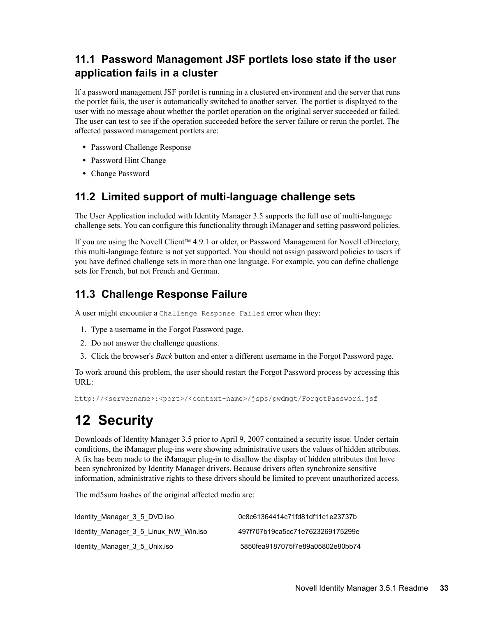### <span id="page-32-1"></span>**11.1 Password Management JSF portlets lose state if the user application fails in a cluster**

If a password management JSF portlet is running in a clustered environment and the server that runs the portlet fails, the user is automatically switched to another server. The portlet is displayed to the user with no message about whether the portlet operation on the original server succeeded or failed. The user can test to see if the operation succeeded before the server failure or rerun the portlet. The affected password management portlets are:

- Password Challenge Response
- Password Hint Change
- Change Password

### <span id="page-32-2"></span>**11.2 Limited support of multi-language challenge sets**

The User Application included with Identity Manager 3.5 supports the full use of multi-language challenge sets. You can configure this functionality through iManager and setting password policies.

If you are using the Novell Client<sup> $TM$ </sup> 4.9.1 or older, or Password Management for Novell eDirectory, this multi-language feature is not yet supported. You should not assign password policies to users if you have defined challenge sets in more than one language. For example, you can define challenge sets for French, but not French and German.

### <span id="page-32-3"></span>**11.3 Challenge Response Failure**

A user might encounter a Challenge Response Failed error when they:

- 1. Type a username in the Forgot Password page.
- 2. Do not answer the challenge questions.
- 3. Click the browser's *Back* button and enter a different username in the Forgot Password page.

To work around this problem, the user should restart the Forgot Password process by accessing this URL:

http://<servername>:<port>/<context-name>/jsps/pwdmgt/ForgotPassword.jsf

# <span id="page-32-0"></span>**12 Security**

Downloads of Identity Manager 3.5 prior to April 9, 2007 contained a security issue. Under certain conditions, the iManager plug-ins were showing administrative users the values of hidden attributes. A fix has been made to the iManager plug-in to disallow the display of hidden attributes that have been synchronized by Identity Manager drivers. Because drivers often synchronize sensitive information, administrative rights to these drivers should be limited to prevent unauthorized access.

The md5sum hashes of the original affected media are:

| Identity Manager 3 5 DVD. iso         | 0c8c61364414c71fd81df11c1e23737b |
|---------------------------------------|----------------------------------|
| Identity Manager 3 5 Linux NW Win.iso | 497f707b19ca5cc71e7623269175299e |
| Identity Manager 3 5 Unix.iso         | 5850fea9187075f7e89a05802e80bb74 |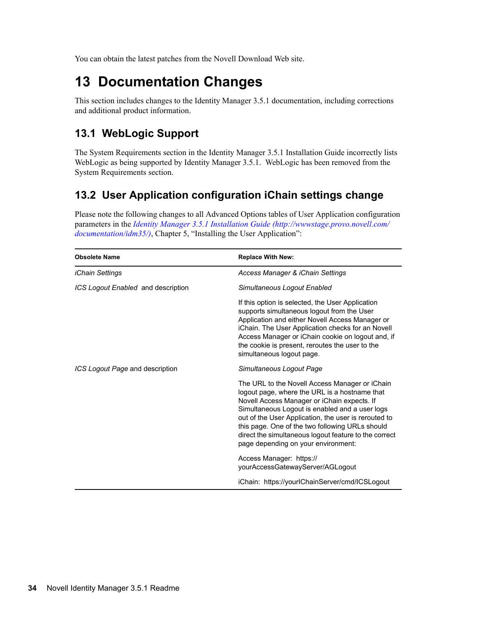You can obtain the latest patches from the Novell Download Web site.

# <span id="page-33-0"></span>**13 Documentation Changes**

This section includes changes to the Identity Manager 3.5.1 documentation, including corrections and additional product information.

#### **13.1 WebLogic Support**

The System Requirements section in the Identity Manager 3.5.1 Installation Guide incorrectly lists WebLogic as being supported by Identity Manager 3.5.1. WebLogic has been removed from the System Requirements section.

### **13.2 User Application configuration iChain settings change**

Please note the following changes to all Advanced Options tables of User Application configuration parameters in the *[Identity Manager 3.5.1 Installation Guide](http://wwwstage.provo.novell.com/documentation/idm35/) (http://wwwstage.provo.novell.com/ documentation/idm35/)*, Chapter 5, "Installing the User Application":

| <b>Obsolete Name</b>               | <b>Replace With New:</b>                                                                                                                                                                                                                                                                                                                                                                                    |
|------------------------------------|-------------------------------------------------------------------------------------------------------------------------------------------------------------------------------------------------------------------------------------------------------------------------------------------------------------------------------------------------------------------------------------------------------------|
| <i>iChain Settings</i>             | Access Manager & iChain Settings                                                                                                                                                                                                                                                                                                                                                                            |
| ICS Logout Enabled and description | Simultaneous Logout Enabled                                                                                                                                                                                                                                                                                                                                                                                 |
|                                    | If this option is selected, the User Application<br>supports simultaneous logout from the User<br>Application and either Novell Access Manager or<br>iChain. The User Application checks for an Novell<br>Access Manager or iChain cookie on logout and, if<br>the cookie is present, reroutes the user to the<br>simultaneous logout page.                                                                 |
| ICS Logout Page and description    | Simultaneous Logout Page                                                                                                                                                                                                                                                                                                                                                                                    |
|                                    | The URL to the Novell Access Manager or iChain<br>logout page, where the URL is a hostname that<br>Novell Access Manager or iChain expects. If<br>Simultaneous Logout is enabled and a user logs<br>out of the User Application, the user is rerouted to<br>this page. One of the two following URLs should<br>direct the simultaneous logout feature to the correct<br>page depending on your environment: |
|                                    | Access Manager: https://<br>yourAccessGatewayServer/AGLogout                                                                                                                                                                                                                                                                                                                                                |
|                                    | iChain: https://yourlChainServer/cmd/ICSLogout                                                                                                                                                                                                                                                                                                                                                              |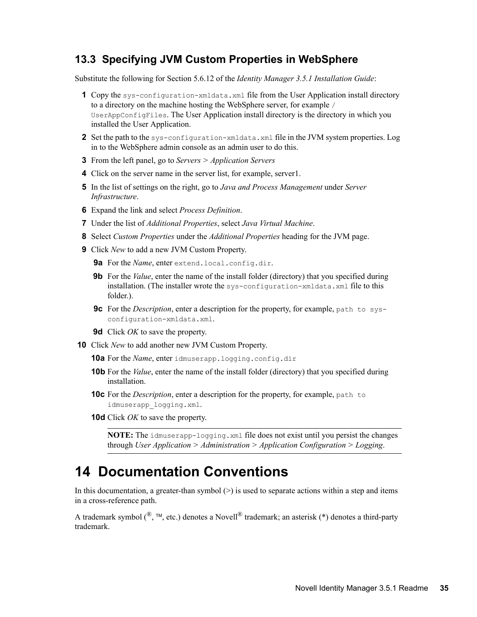#### **13.3 Specifying JVM Custom Properties in WebSphere**

Substitute the following for Section 5.6.12 of the *Identity Manager 3.5.1 Installation Guide*:

- **1** Copy the sys-configuration-xmldata.xml file from the User Application install directory to a directory on the machine hosting the WebSphere server, for example / UserAppConfigFiles. The User Application install directory is the directory in which you installed the User Application.
- **2** Set the path to the sys-configuration-xmldata.xml file in the JVM system properties. Log in to the WebSphere admin console as an admin user to do this.
- **3** From the left panel, go to *Servers > Application Servers*
- **4** Click on the server name in the server list, for example, server1.
- **5** In the list of settings on the right, go to *Java and Process Management* under *Server Infrastructure*.
- **6** Expand the link and select *Process Definition*.
- **7** Under the list of *Additional Properties*, select *Java Virtual Machine*.
- **8** Select *Custom Properties* under the *Additional Properties* heading for the JVM page.
- **9** Click *New* to add a new JVM Custom Property.
	- **9a** For the *Name*, enter extend.local.config.dir.
	- **9b** For the *Value*, enter the name of the install folder (directory) that you specified during installation. (The installer wrote the sys-configuration-xmldata.xml file to this folder.).
	- **9c** For the *Description*, enter a description for the property, for example, path to sysconfiguration-xmldata.xml.
	- **9d** Click *OK* to save the property.
- **10** Click *New* to add another new JVM Custom Property.
	- **10a** For the *Name*, enter idmuserapp.logging.config.dir
	- **10b** For the *Value*, enter the name of the install folder (directory) that you specified during installation.
	- **10c** For the *Description*, enter a description for the property, for example, path to idmuserapp\_logging.xml.
	- **10d** Click *OK* to save the property.

**NOTE:** The idmuserapp-logging.xml file does not exist until you persist the changes through *User Application > Administration > Application Configuration > Logging*.

## <span id="page-34-0"></span>**14 Documentation Conventions**

In this documentation, a greater-than symbol  $(>)$  is used to separate actions within a step and items in a cross-reference path.

A trademark symbol ( $\mathbb{R}$ ,  $\mathbb{M}$ , etc.) denotes a Novell $\mathbb{R}$  trademark; an asterisk (\*) denotes a third-party trademark.